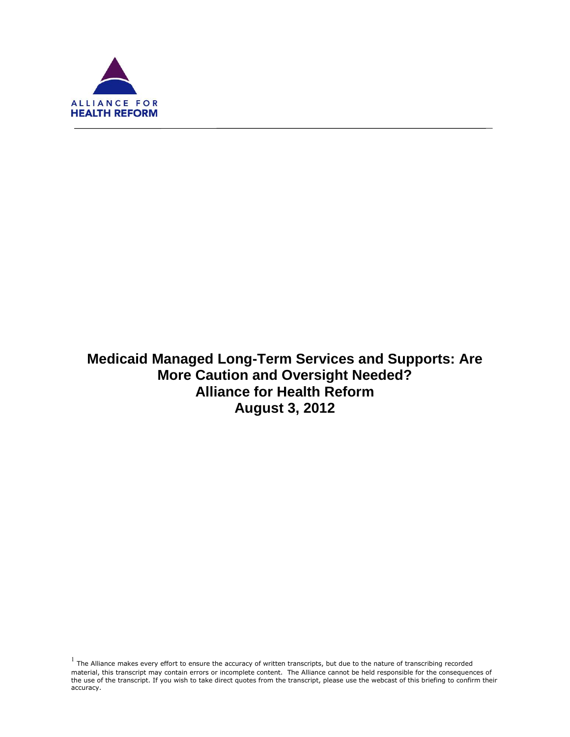

f

**Medicaid Managed Long-Term Services and Supports: Are More Caution and Oversight Needed? Alliance for Health Reform August 3, 2012**

 $<sup>1</sup>$  The Alliance makes every effort to ensure the accuracy of written transcripts, but due to the nature of transcribing recorded</sup> material, this transcript may contain errors or incomplete content. The Alliance cannot be held responsible for the consequences of the use of the transcript. If you wish to take direct quotes from the transcript, please use the webcast of this briefing to confirm their accuracy.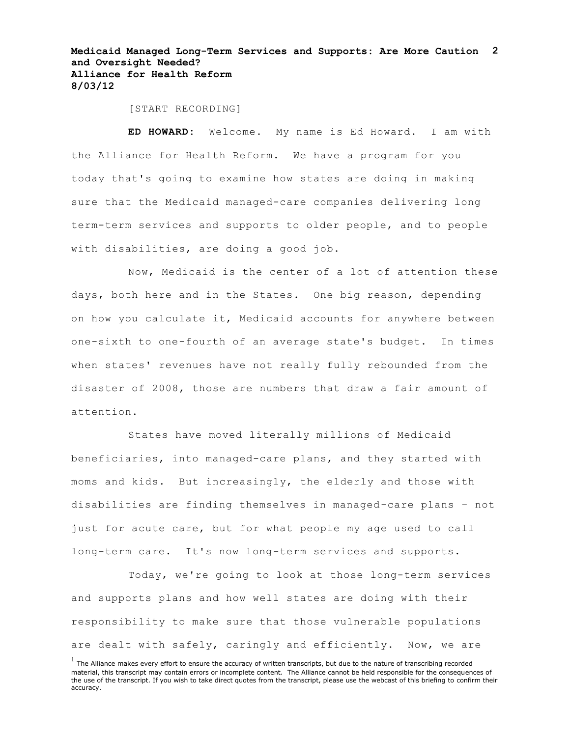**Medicaid Managed Long-Term Services and Supports: Are More Caution 2 and Oversight Needed? Alliance for Health Reform 8/03/12**

[START RECORDING]

**ED HOWARD:** Welcome. My name is Ed Howard. I am with the Alliance for Health Reform. We have a program for you today that's going to examine how states are doing in making sure that the Medicaid managed-care companies delivering long term-term services and supports to older people, and to people with disabilities, are doing a good job.

Now, Medicaid is the center of a lot of attention these days, both here and in the States. One big reason, depending on how you calculate it, Medicaid accounts for anywhere between one-sixth to one-fourth of an average state's budget. In times when states' revenues have not really fully rebounded from the disaster of 2008, those are numbers that draw a fair amount of attention.

States have moved literally millions of Medicaid beneficiaries, into managed-care plans, and they started with moms and kids. But increasingly, the elderly and those with disabilities are finding themselves in managed-care plans – not just for acute care, but for what people my age used to call long-term care. It's now long-term services and supports.

Today, we're going to look at those long-term services and supports plans and how well states are doing with their responsibility to make sure that those vulnerable populations are dealt with safely, caringly and efficiently. Now, we are

 $<sup>1</sup>$  The Alliance makes every effort to ensure the accuracy of written transcripts, but due to the nature of transcribing recorded</sup> material, this transcript may contain errors or incomplete content. The Alliance cannot be held responsible for the consequences of the use of the transcript. If you wish to take direct quotes from the transcript, please use the webcast of this briefing to confirm their accuracy.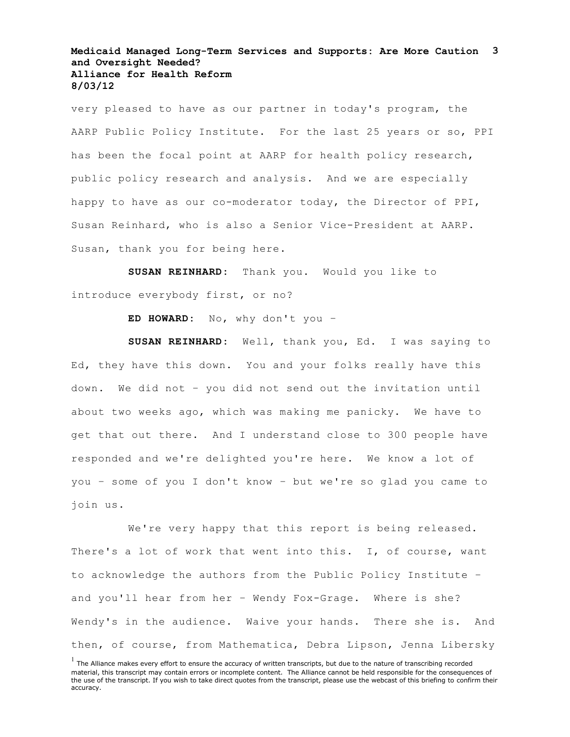#### **Medicaid Managed Long-Term Services and Supports: Are More Caution 3 and Oversight Needed? Alliance for Health Reform 8/03/12**

very pleased to have as our partner in today's program, the AARP Public Policy Institute. For the last 25 years or so, PPI has been the focal point at AARP for health policy research, public policy research and analysis. And we are especially happy to have as our co-moderator today, the Director of PPI, Susan Reinhard, who is also a Senior Vice-President at AARP. Susan, thank you for being here.

**SUSAN REINHARD:** Thank you. Would you like to introduce everybody first, or no?

**ED HOWARD:** No, why don't you –

**SUSAN REINHARD:** Well, thank you, Ed. I was saying to Ed, they have this down. You and your folks really have this down. We did not – you did not send out the invitation until about two weeks ago, which was making me panicky. We have to get that out there. And I understand close to 300 people have responded and we're delighted you're here. We know a lot of you – some of you I don't know – but we're so glad you came to join us.

We're very happy that this report is being released. There's a lot of work that went into this. I, of course, want to acknowledge the authors from the Public Policy Institute – and you'll hear from her – Wendy Fox-Grage. Where is she? Wendy's in the audience. Waive your hands. There she is. And then, of course, from Mathematica, Debra Lipson, Jenna Libersky

 $<sup>1</sup>$  The Alliance makes every effort to ensure the accuracy of written transcripts, but due to the nature of transcribing recorded</sup> material, this transcript may contain errors or incomplete content. The Alliance cannot be held responsible for the consequences of the use of the transcript. If you wish to take direct quotes from the transcript, please use the webcast of this briefing to confirm their accuracy.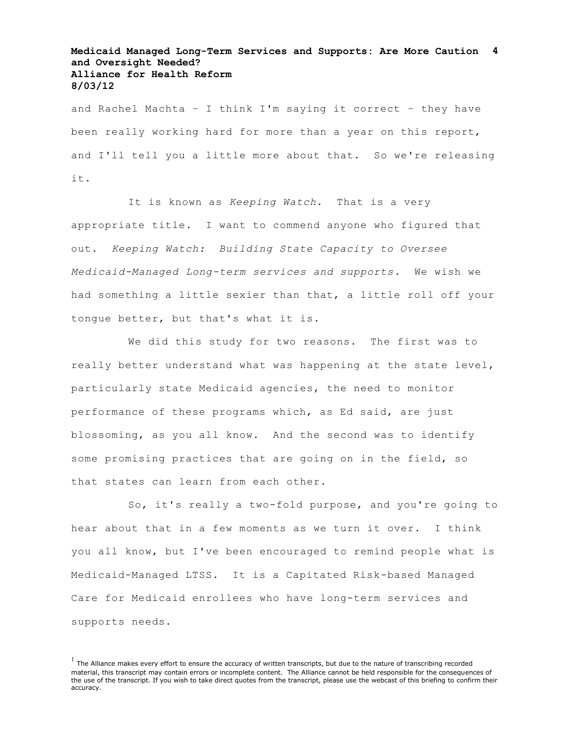# **Medicaid Managed Long-Term Services and Supports: Are More Caution 4 and Oversight Needed? Alliance for Health Reform 8/03/12**

and Rachel Machta – I think I'm saying it correct – they have been really working hard for more than a year on this report, and I'll tell you a little more about that. So we're releasing it.

It is known as *Keeping Watch*. That is a very appropriate title. I want to commend anyone who figured that out. *Keeping Watch: Building State Capacity to Oversee Medicaid-Managed Long-term services and supports.* We wish we had something a little sexier than that, a little roll off your tongue better, but that's what it is.

We did this study for two reasons. The first was to really better understand what was happening at the state level, particularly state Medicaid agencies, the need to monitor performance of these programs which, as Ed said, are just blossoming, as you all know. And the second was to identify some promising practices that are going on in the field, so that states can learn from each other.

So, it's really a two-fold purpose, and you're going to hear about that in a few moments as we turn it over. I think you all know, but I've been encouraged to remind people what is Medicaid-Managed LTSS. It is a Capitated Risk-based Managed Care for Medicaid enrollees who have long-term services and supports needs.

 $<sup>1</sup>$  The Alliance makes every effort to ensure the accuracy of written transcripts, but due to the nature of transcribing recorded</sup> material, this transcript may contain errors or incomplete content. The Alliance cannot be held responsible for the consequences of the use of the transcript. If you wish to take direct quotes from the transcript, please use the webcast of this briefing to confirm their accuracy.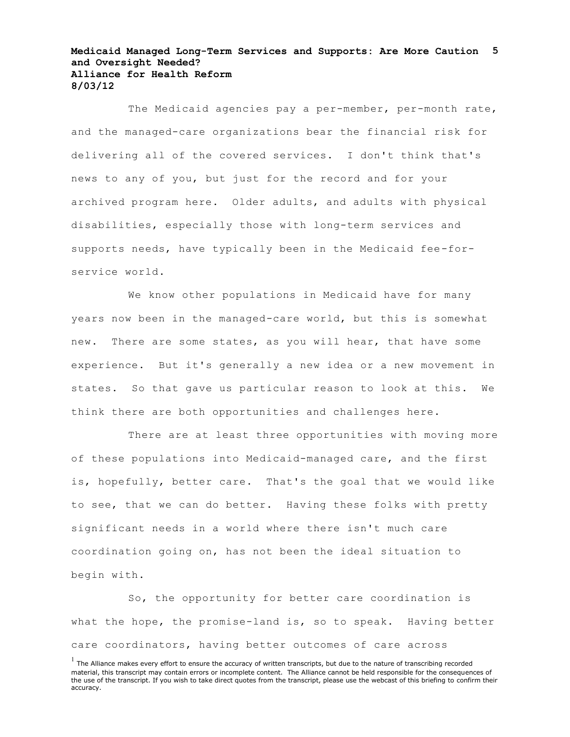#### **Medicaid Managed Long-Term Services and Supports: Are More Caution 5 and Oversight Needed? Alliance for Health Reform 8/03/12**

The Medicaid agencies pay a per-member, per-month rate, and the managed-care organizations bear the financial risk for delivering all of the covered services. I don't think that's news to any of you, but just for the record and for your archived program here. Older adults, and adults with physical disabilities, especially those with long-term services and supports needs, have typically been in the Medicaid fee-forservice world.

We know other populations in Medicaid have for many years now been in the managed-care world, but this is somewhat new. There are some states, as you will hear, that have some experience. But it's generally a new idea or a new movement in states. So that gave us particular reason to look at this. We think there are both opportunities and challenges here.

There are at least three opportunities with moving more of these populations into Medicaid-managed care, and the first is, hopefully, better care. That's the goal that we would like to see, that we can do better. Having these folks with pretty significant needs in a world where there isn't much care coordination going on, has not been the ideal situation to begin with.

So, the opportunity for better care coordination is what the hope, the promise-land is, so to speak. Having better care coordinators, having better outcomes of care across

 $<sup>1</sup>$  The Alliance makes every effort to ensure the accuracy of written transcripts, but due to the nature of transcribing recorded</sup> material, this transcript may contain errors or incomplete content. The Alliance cannot be held responsible for the consequences of the use of the transcript. If you wish to take direct quotes from the transcript, please use the webcast of this briefing to confirm their accuracy.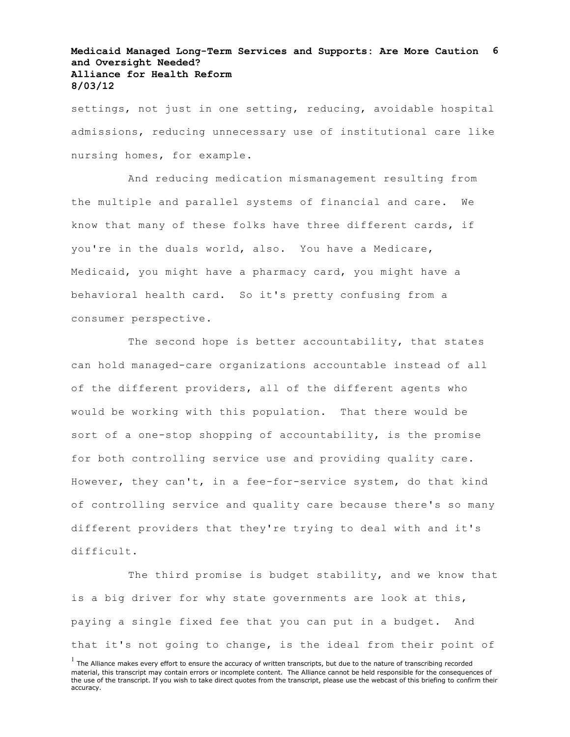# **Medicaid Managed Long-Term Services and Supports: Are More Caution 6 and Oversight Needed? Alliance for Health Reform 8/03/12**

settings, not just in one setting, reducing, avoidable hospital admissions, reducing unnecessary use of institutional care like nursing homes, for example.

And reducing medication mismanagement resulting from the multiple and parallel systems of financial and care. We know that many of these folks have three different cards, if you're in the duals world, also. You have a Medicare, Medicaid, you might have a pharmacy card, you might have a behavioral health card. So it's pretty confusing from a consumer perspective.

The second hope is better accountability, that states can hold managed-care organizations accountable instead of all of the different providers, all of the different agents who would be working with this population. That there would be sort of a one-stop shopping of accountability, is the promise for both controlling service use and providing quality care. However, they can't, in a fee-for-service system, do that kind of controlling service and quality care because there's so many different providers that they're trying to deal with and it's difficult.

The third promise is budget stability, and we know that is a big driver for why state governments are look at this, paying a single fixed fee that you can put in a budget. And that it's not going to change, is the ideal from their point of

 $<sup>1</sup>$  The Alliance makes every effort to ensure the accuracy of written transcripts, but due to the nature of transcribing recorded</sup> material, this transcript may contain errors or incomplete content. The Alliance cannot be held responsible for the consequences of the use of the transcript. If you wish to take direct quotes from the transcript, please use the webcast of this briefing to confirm their accuracy.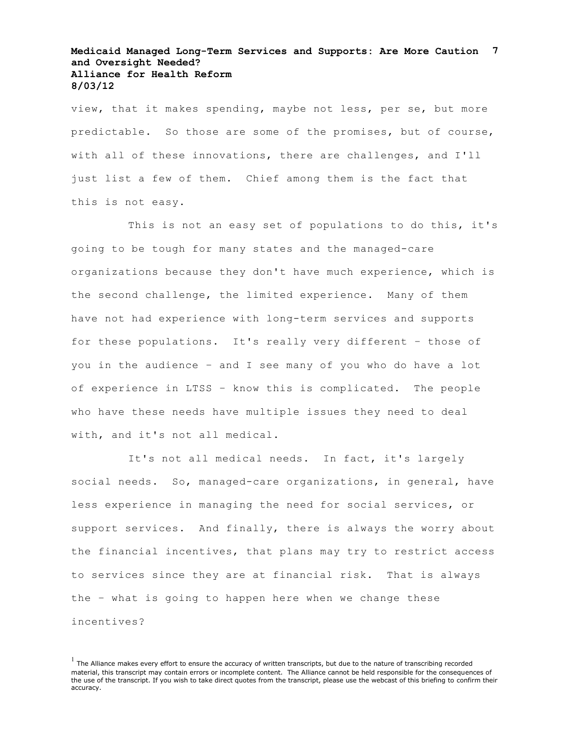### **Medicaid Managed Long-Term Services and Supports: Are More Caution 7 and Oversight Needed? Alliance for Health Reform 8/03/12**

view, that it makes spending, maybe not less, per se, but more predictable. So those are some of the promises, but of course, with all of these innovations, there are challenges, and I'll just list a few of them. Chief among them is the fact that this is not easy.

This is not an easy set of populations to do this, it's going to be tough for many states and the managed-care organizations because they don't have much experience, which is the second challenge, the limited experience. Many of them have not had experience with long-term services and supports for these populations. It's really very different – those of you in the audience – and I see many of you who do have a lot of experience in LTSS – know this is complicated. The people who have these needs have multiple issues they need to deal with, and it's not all medical.

It's not all medical needs. In fact, it's largely social needs. So, managed-care organizations, in general, have less experience in managing the need for social services, or support services. And finally, there is always the worry about the financial incentives, that plans may try to restrict access to services since they are at financial risk. That is always the – what is going to happen here when we change these incentives?

 $<sup>1</sup>$  The Alliance makes every effort to ensure the accuracy of written transcripts, but due to the nature of transcribing recorded</sup> material, this transcript may contain errors or incomplete content. The Alliance cannot be held responsible for the consequences of the use of the transcript. If you wish to take direct quotes from the transcript, please use the webcast of this briefing to confirm their accuracy.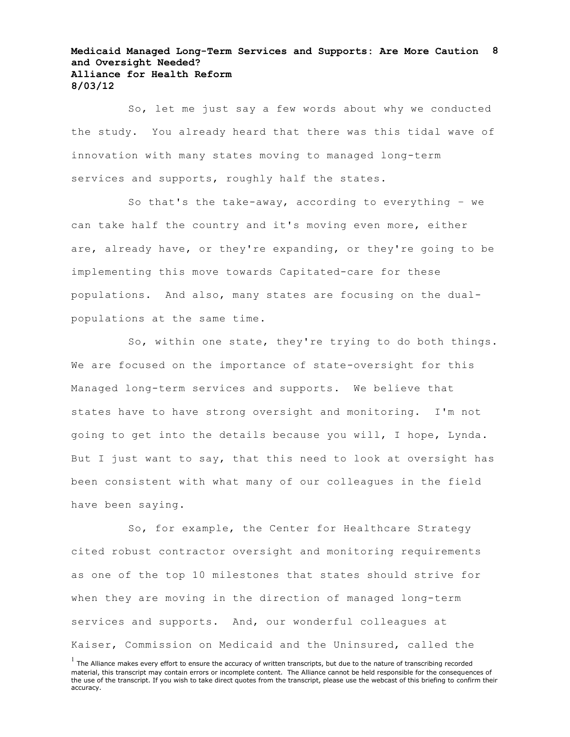#### **Medicaid Managed Long-Term Services and Supports: Are More Caution 8 and Oversight Needed? Alliance for Health Reform 8/03/12**

So, let me just say a few words about why we conducted the study. You already heard that there was this tidal wave of innovation with many states moving to managed long-term services and supports, roughly half the states.

So that's the take-away, according to everything – we can take half the country and it's moving even more, either are, already have, or they're expanding, or they're going to be implementing this move towards Capitated-care for these populations. And also, many states are focusing on the dualpopulations at the same time.

So, within one state, they're trying to do both things. We are focused on the importance of state-oversight for this Managed long-term services and supports. We believe that states have to have strong oversight and monitoring. I'm not going to get into the details because you will, I hope, Lynda. But I just want to say, that this need to look at oversight has been consistent with what many of our colleagues in the field have been saying.

So, for example, the Center for Healthcare Strategy cited robust contractor oversight and monitoring requirements as one of the top 10 milestones that states should strive for when they are moving in the direction of managed long-term services and supports. And, our wonderful colleagues at Kaiser, Commission on Medicaid and the Uninsured, called the

 $<sup>1</sup>$  The Alliance makes every effort to ensure the accuracy of written transcripts, but due to the nature of transcribing recorded</sup> material, this transcript may contain errors or incomplete content. The Alliance cannot be held responsible for the consequences of the use of the transcript. If you wish to take direct quotes from the transcript, please use the webcast of this briefing to confirm their accuracy.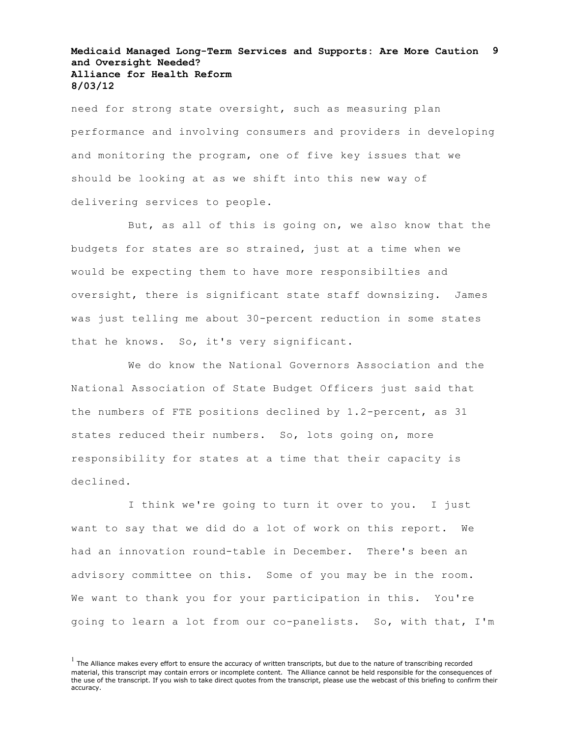## **Medicaid Managed Long-Term Services and Supports: Are More Caution 9 and Oversight Needed? Alliance for Health Reform 8/03/12**

need for strong state oversight, such as measuring plan performance and involving consumers and providers in developing and monitoring the program, one of five key issues that we should be looking at as we shift into this new way of delivering services to people.

But, as all of this is going on, we also know that the budgets for states are so strained, just at a time when we would be expecting them to have more responsibilties and oversight, there is significant state staff downsizing. James was just telling me about 30-percent reduction in some states that he knows. So, it's very significant.

We do know the National Governors Association and the National Association of State Budget Officers just said that the numbers of FTE positions declined by 1.2-percent, as 31 states reduced their numbers. So, lots going on, more responsibility for states at a time that their capacity is declined.

I think we're going to turn it over to you. I just want to say that we did do a lot of work on this report. We had an innovation round-table in December. There's been an advisory committee on this. Some of you may be in the room. We want to thank you for your participation in this. You're going to learn a lot from our co-panelists. So, with that, I'm

 $<sup>1</sup>$  The Alliance makes every effort to ensure the accuracy of written transcripts, but due to the nature of transcribing recorded</sup> material, this transcript may contain errors or incomplete content. The Alliance cannot be held responsible for the consequences of the use of the transcript. If you wish to take direct quotes from the transcript, please use the webcast of this briefing to confirm their accuracy.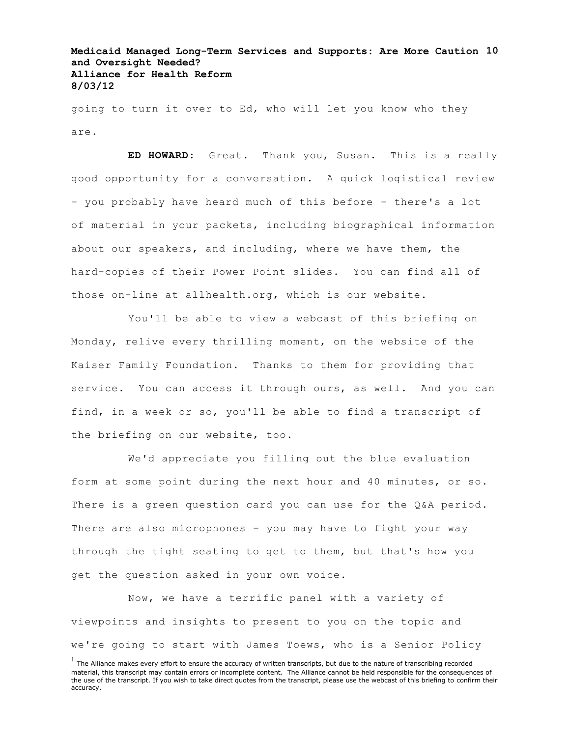# **Medicaid Managed Long-Term Services and Supports: Are More Caution 10 and Oversight Needed? Alliance for Health Reform 8/03/12**

going to turn it over to Ed, who will let you know who they are.

**ED HOWARD:** Great. Thank you, Susan. This is a really good opportunity for a conversation. A quick logistical review – you probably have heard much of this before – there's a lot of material in your packets, including biographical information about our speakers, and including, where we have them, the hard-copies of their Power Point slides. You can find all of those on-line at allhealth.org, which is our website.

You'll be able to view a webcast of this briefing on Monday, relive every thrilling moment, on the website of the Kaiser Family Foundation. Thanks to them for providing that service. You can access it through ours, as well. And you can find, in a week or so, you'll be able to find a transcript of the briefing on our website, too.

We'd appreciate you filling out the blue evaluation form at some point during the next hour and 40 minutes, or so. There is a green question card you can use for the Q&A period. There are also microphones – you may have to fight your way through the tight seating to get to them, but that's how you get the question asked in your own voice.

Now, we have a terrific panel with a variety of viewpoints and insights to present to you on the topic and we're going to start with James Toews, who is a Senior Policy

 $<sup>1</sup>$  The Alliance makes every effort to ensure the accuracy of written transcripts, but due to the nature of transcribing recorded</sup> material, this transcript may contain errors or incomplete content. The Alliance cannot be held responsible for the consequences of the use of the transcript. If you wish to take direct quotes from the transcript, please use the webcast of this briefing to confirm their accuracy.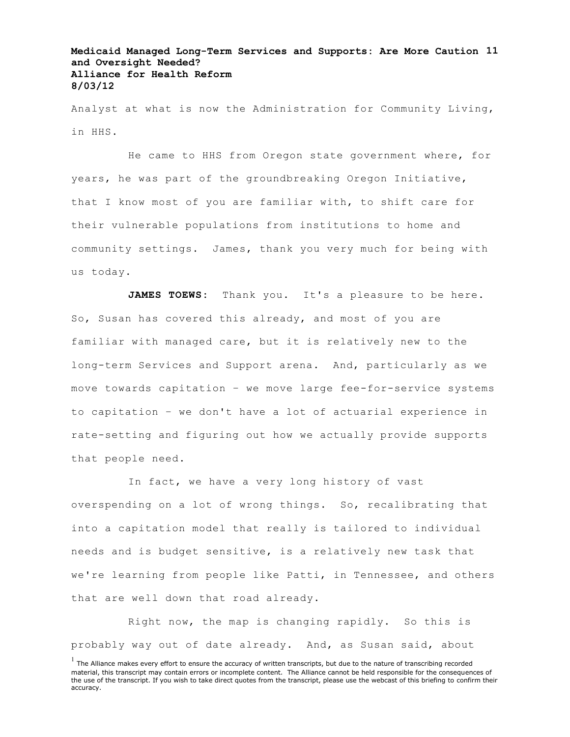# **Medicaid Managed Long-Term Services and Supports: Are More Caution 11 and Oversight Needed? Alliance for Health Reform 8/03/12**

Analyst at what is now the Administration for Community Living, in HHS.

He came to HHS from Oregon state government where, for years, he was part of the groundbreaking Oregon Initiative, that I know most of you are familiar with, to shift care for their vulnerable populations from institutions to home and community settings. James, thank you very much for being with us today.

JAMES TOEWS: Thank you. It's a pleasure to be here. So, Susan has covered this already, and most of you are familiar with managed care, but it is relatively new to the long-term Services and Support arena. And, particularly as we move towards capitation – we move large fee-for-service systems to capitation – we don't have a lot of actuarial experience in rate-setting and figuring out how we actually provide supports that people need.

In fact, we have a very long history of vast overspending on a lot of wrong things. So, recalibrating that into a capitation model that really is tailored to individual needs and is budget sensitive, is a relatively new task that we're learning from people like Patti, in Tennessee, and others that are well down that road already.

Right now, the map is changing rapidly. So this is probably way out of date already. And, as Susan said, about

 $<sup>1</sup>$  The Alliance makes every effort to ensure the accuracy of written transcripts, but due to the nature of transcribing recorded</sup> material, this transcript may contain errors or incomplete content. The Alliance cannot be held responsible for the consequences of the use of the transcript. If you wish to take direct quotes from the transcript, please use the webcast of this briefing to confirm their accuracy.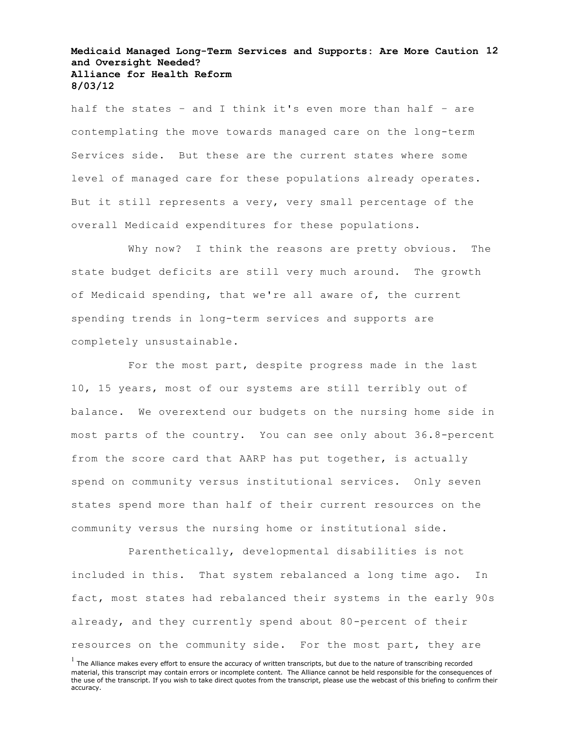# **Medicaid Managed Long-Term Services and Supports: Are More Caution 12 and Oversight Needed? Alliance for Health Reform 8/03/12**

half the states – and I think it's even more than half – are contemplating the move towards managed care on the long-term Services side. But these are the current states where some level of managed care for these populations already operates. But it still represents a very, very small percentage of the overall Medicaid expenditures for these populations.

Why now? I think the reasons are pretty obvious. The state budget deficits are still very much around. The growth of Medicaid spending, that we're all aware of, the current spending trends in long-term services and supports are completely unsustainable.

For the most part, despite progress made in the last 10, 15 years, most of our systems are still terribly out of balance. We overextend our budgets on the nursing home side in most parts of the country. You can see only about 36.8-percent from the score card that AARP has put together, is actually spend on community versus institutional services. Only seven states spend more than half of their current resources on the community versus the nursing home or institutional side.

Parenthetically, developmental disabilities is not included in this. That system rebalanced a long time ago. In fact, most states had rebalanced their systems in the early 90s already, and they currently spend about 80-percent of their resources on the community side. For the most part, they are

 $<sup>1</sup>$  The Alliance makes every effort to ensure the accuracy of written transcripts, but due to the nature of transcribing recorded</sup> material, this transcript may contain errors or incomplete content. The Alliance cannot be held responsible for the consequences of the use of the transcript. If you wish to take direct quotes from the transcript, please use the webcast of this briefing to confirm their accuracy.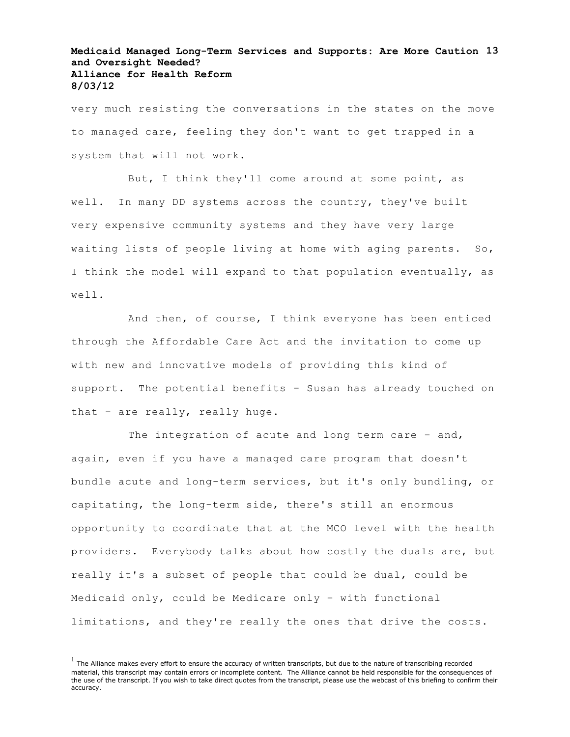# **Medicaid Managed Long-Term Services and Supports: Are More Caution 13 and Oversight Needed? Alliance for Health Reform 8/03/12**

very much resisting the conversations in the states on the move to managed care, feeling they don't want to get trapped in a system that will not work.

But, I think they'll come around at some point, as well. In many DD systems across the country, they've built very expensive community systems and they have very large waiting lists of people living at home with aging parents. So, I think the model will expand to that population eventually, as well.

And then, of course, I think everyone has been enticed through the Affordable Care Act and the invitation to come up with new and innovative models of providing this kind of support. The potential benefits – Susan has already touched on that – are really, really huge.

The integration of acute and long term care - and, again, even if you have a managed care program that doesn't bundle acute and long-term services, but it's only bundling, or capitating, the long-term side, there's still an enormous opportunity to coordinate that at the MCO level with the health providers. Everybody talks about how costly the duals are, but really it's a subset of people that could be dual, could be Medicaid only, could be Medicare only – with functional limitations, and they're really the ones that drive the costs.

 $<sup>1</sup>$  The Alliance makes every effort to ensure the accuracy of written transcripts, but due to the nature of transcribing recorded</sup> material, this transcript may contain errors or incomplete content. The Alliance cannot be held responsible for the consequences of the use of the transcript. If you wish to take direct quotes from the transcript, please use the webcast of this briefing to confirm their accuracy.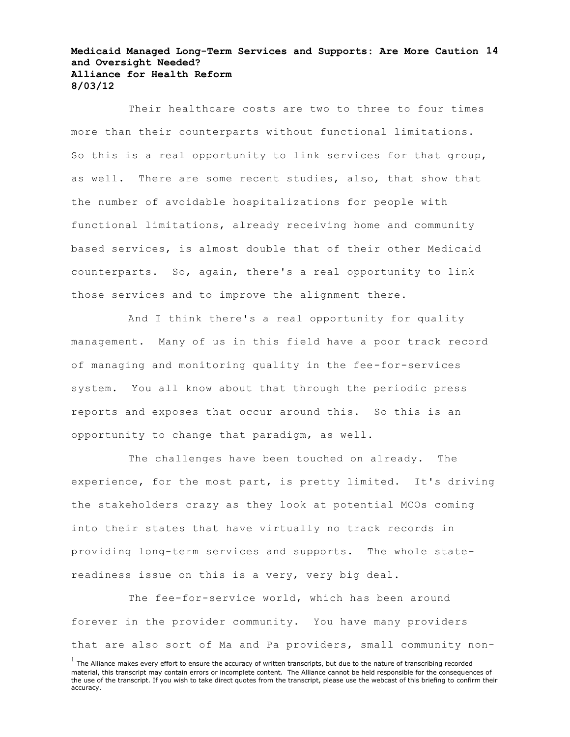#### **Medicaid Managed Long-Term Services and Supports: Are More Caution 14 and Oversight Needed? Alliance for Health Reform 8/03/12**

Their healthcare costs are two to three to four times more than their counterparts without functional limitations. So this is a real opportunity to link services for that group, as well. There are some recent studies, also, that show that the number of avoidable hospitalizations for people with functional limitations, already receiving home and community based services, is almost double that of their other Medicaid counterparts. So, again, there's a real opportunity to link those services and to improve the alignment there.

And I think there's a real opportunity for quality management. Many of us in this field have a poor track record of managing and monitoring quality in the fee-for-services system. You all know about that through the periodic press reports and exposes that occur around this. So this is an opportunity to change that paradigm, as well.

The challenges have been touched on already. The experience, for the most part, is pretty limited. It's driving the stakeholders crazy as they look at potential MCOs coming into their states that have virtually no track records in providing long-term services and supports. The whole statereadiness issue on this is a very, very big deal.

The fee-for-service world, which has been around forever in the provider community. You have many providers that are also sort of Ma and Pa providers, small community non-

 $<sup>1</sup>$  The Alliance makes every effort to ensure the accuracy of written transcripts, but due to the nature of transcribing recorded</sup> material, this transcript may contain errors or incomplete content. The Alliance cannot be held responsible for the consequences of the use of the transcript. If you wish to take direct quotes from the transcript, please use the webcast of this briefing to confirm their accuracy.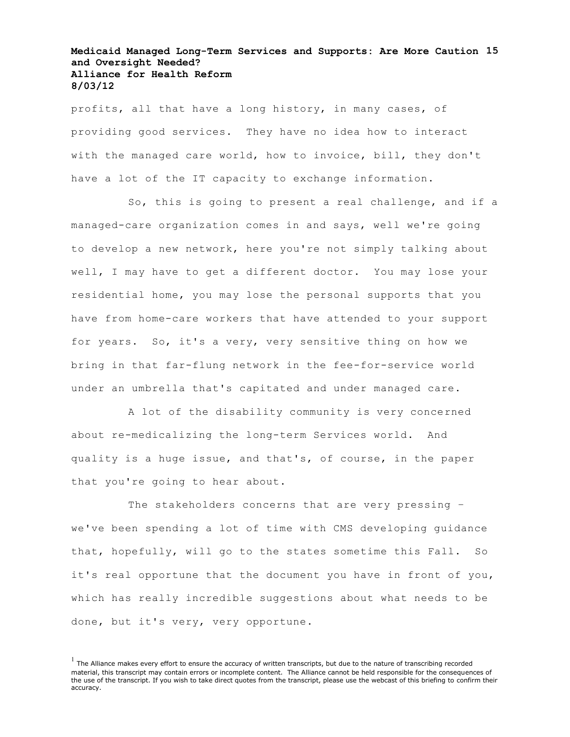## **Medicaid Managed Long-Term Services and Supports: Are More Caution 15 and Oversight Needed? Alliance for Health Reform 8/03/12**

profits, all that have a long history, in many cases, of providing good services. They have no idea how to interact with the managed care world, how to invoice, bill, they don't have a lot of the IT capacity to exchange information.

So, this is going to present a real challenge, and if a managed-care organization comes in and says, well we're going to develop a new network, here you're not simply talking about well, I may have to get a different doctor. You may lose your residential home, you may lose the personal supports that you have from home-care workers that have attended to your support for years. So, it's a very, very sensitive thing on how we bring in that far-flung network in the fee-for-service world under an umbrella that's capitated and under managed care.

A lot of the disability community is very concerned about re-medicalizing the long-term Services world. And quality is a huge issue, and that's, of course, in the paper that you're going to hear about.

The stakeholders concerns that are very pressing – we've been spending a lot of time with CMS developing guidance that, hopefully, will go to the states sometime this Fall. So it's real opportune that the document you have in front of you, which has really incredible suggestions about what needs to be done, but it's very, very opportune.

 $<sup>1</sup>$  The Alliance makes every effort to ensure the accuracy of written transcripts, but due to the nature of transcribing recorded</sup> material, this transcript may contain errors or incomplete content. The Alliance cannot be held responsible for the consequences of the use of the transcript. If you wish to take direct quotes from the transcript, please use the webcast of this briefing to confirm their accuracy.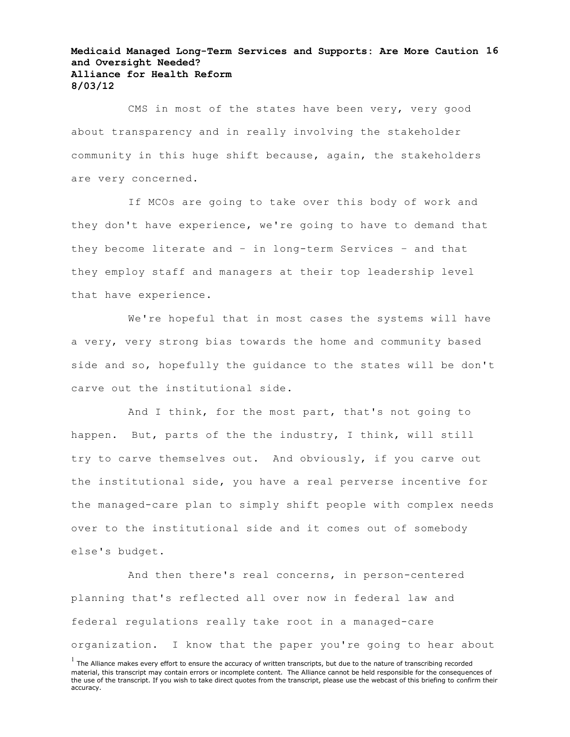## **Medicaid Managed Long-Term Services and Supports: Are More Caution 16 and Oversight Needed? Alliance for Health Reform 8/03/12**

CMS in most of the states have been very, very good about transparency and in really involving the stakeholder community in this huge shift because, again, the stakeholders are very concerned.

If MCOs are going to take over this body of work and they don't have experience, we're going to have to demand that they become literate and – in long-term Services – and that they employ staff and managers at their top leadership level that have experience.

We're hopeful that in most cases the systems will have a very, very strong bias towards the home and community based side and so, hopefully the guidance to the states will be don't carve out the institutional side.

And I think, for the most part, that's not going to happen. But, parts of the the industry, I think, will still try to carve themselves out. And obviously, if you carve out the institutional side, you have a real perverse incentive for the managed-care plan to simply shift people with complex needs over to the institutional side and it comes out of somebody else's budget.

And then there's real concerns, in person-centered planning that's reflected all over now in federal law and federal regulations really take root in a managed-care organization. I know that the paper you're going to hear about

 $<sup>1</sup>$  The Alliance makes every effort to ensure the accuracy of written transcripts, but due to the nature of transcribing recorded</sup> material, this transcript may contain errors or incomplete content. The Alliance cannot be held responsible for the consequences of the use of the transcript. If you wish to take direct quotes from the transcript, please use the webcast of this briefing to confirm their accuracy.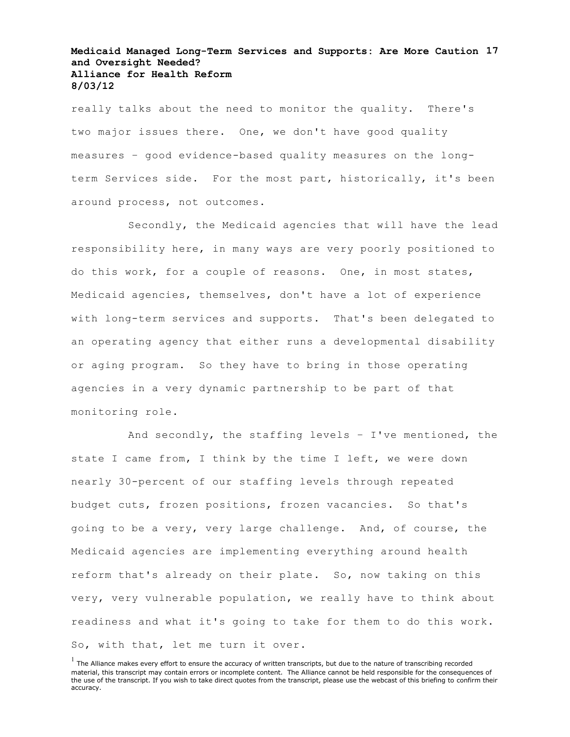# **Medicaid Managed Long-Term Services and Supports: Are More Caution 17 and Oversight Needed? Alliance for Health Reform 8/03/12**

really talks about the need to monitor the quality. There's two major issues there. One, we don't have good quality measures – good evidence-based quality measures on the longterm Services side. For the most part, historically, it's been around process, not outcomes.

Secondly, the Medicaid agencies that will have the lead responsibility here, in many ways are very poorly positioned to do this work, for a couple of reasons. One, in most states, Medicaid agencies, themselves, don't have a lot of experience with long-term services and supports. That's been delegated to an operating agency that either runs a developmental disability or aging program. So they have to bring in those operating agencies in a very dynamic partnership to be part of that monitoring role.

And secondly, the staffing levels – I've mentioned, the state I came from, I think by the time I left, we were down nearly 30-percent of our staffing levels through repeated budget cuts, frozen positions, frozen vacancies. So that's going to be a very, very large challenge. And, of course, the Medicaid agencies are implementing everything around health reform that's already on their plate. So, now taking on this very, very vulnerable population, we really have to think about readiness and what it's going to take for them to do this work. So, with that, let me turn it over.

 $<sup>1</sup>$  The Alliance makes every effort to ensure the accuracy of written transcripts, but due to the nature of transcribing recorded</sup> material, this transcript may contain errors or incomplete content. The Alliance cannot be held responsible for the consequences of the use of the transcript. If you wish to take direct quotes from the transcript, please use the webcast of this briefing to confirm their accuracy.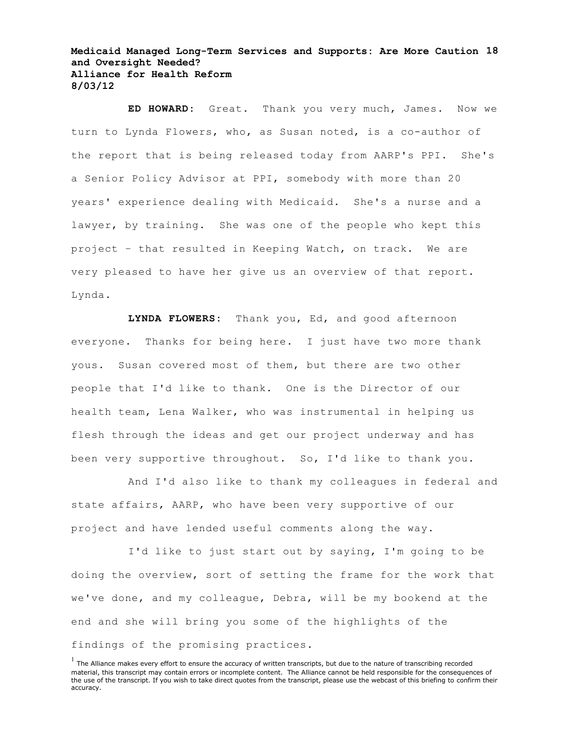**Medicaid Managed Long-Term Services and Supports: Are More Caution 18 and Oversight Needed? Alliance for Health Reform 8/03/12**

**ED HOWARD:** Great. Thank you very much, James. Now we turn to Lynda Flowers, who, as Susan noted, is a co-author of the report that is being released today from AARP's PPI. She's a Senior Policy Advisor at PPI, somebody with more than 20 years' experience dealing with Medicaid. She's a nurse and a lawyer, by training. She was one of the people who kept this project – that resulted in Keeping Watch, on track. We are very pleased to have her give us an overview of that report. Lynda.

**LYNDA FLOWERS:** Thank you, Ed, and good afternoon everyone. Thanks for being here. I just have two more thank yous. Susan covered most of them, but there are two other people that I'd like to thank. One is the Director of our health team, Lena Walker, who was instrumental in helping us flesh through the ideas and get our project underway and has been very supportive throughout. So, I'd like to thank you.

And I'd also like to thank my colleagues in federal and state affairs, AARP, who have been very supportive of our project and have lended useful comments along the way.

I'd like to just start out by saying, I'm going to be doing the overview, sort of setting the frame for the work that we've done, and my colleague, Debra, will be my bookend at the end and she will bring you some of the highlights of the findings of the promising practices.

 $<sup>1</sup>$  The Alliance makes every effort to ensure the accuracy of written transcripts, but due to the nature of transcribing recorded</sup> material, this transcript may contain errors or incomplete content. The Alliance cannot be held responsible for the consequences of the use of the transcript. If you wish to take direct quotes from the transcript, please use the webcast of this briefing to confirm their accuracy.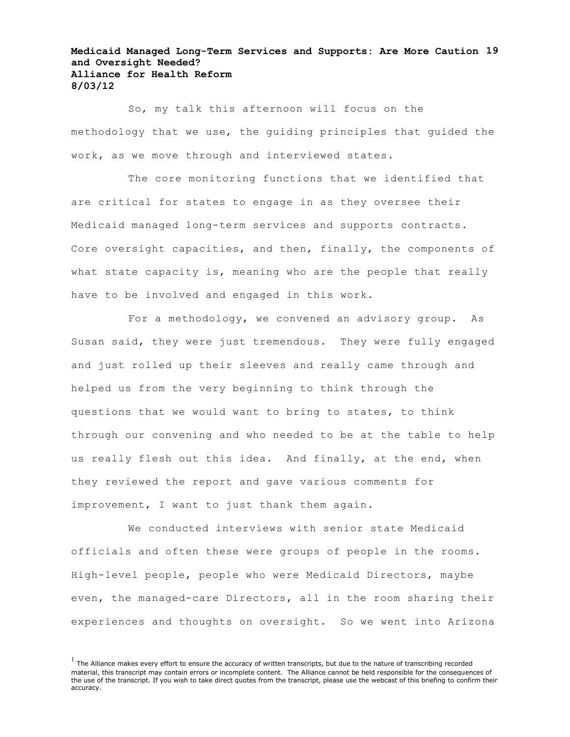# **Medicaid Managed Long-Term Services and Supports: Are More Caution 19 and Oversight Needed? Alliance for Health Reform 8/03/12**

So, my talk this afternoon will focus on the methodology that we use, the guiding principles that guided the work, as we move through and interviewed states.

The core monitoring functions that we identified that are critical for states to engage in as they oversee their Medicaid managed long-term services and supports contracts. Core oversight capacities, and then, finally, the components of what state capacity is, meaning who are the people that really have to be involved and engaged in this work.

For a methodology, we convened an advisory group. As Susan said, they were just tremendous. They were fully engaged and just rolled up their sleeves and really came through and helped us from the very beginning to think through the questions that we would want to bring to states, to think through our convening and who needed to be at the table to help us really flesh out this idea. And finally, at the end, when they reviewed the report and gave various comments for improvement, I want to just thank them again.

We conducted interviews with senior state Medicaid officials and often these were groups of people in the rooms. High-level people, people who were Medicaid Directors, maybe even, the managed-care Directors, all in the room sharing their experiences and thoughts on oversight. So we went into Arizona

 $<sup>1</sup>$  The Alliance makes every effort to ensure the accuracy of written transcripts, but due to the nature of transcribing recorded</sup> material, this transcript may contain errors or incomplete content. The Alliance cannot be held responsible for the consequences of the use of the transcript. If you wish to take direct quotes from the transcript, please use the webcast of this briefing to confirm their accuracy.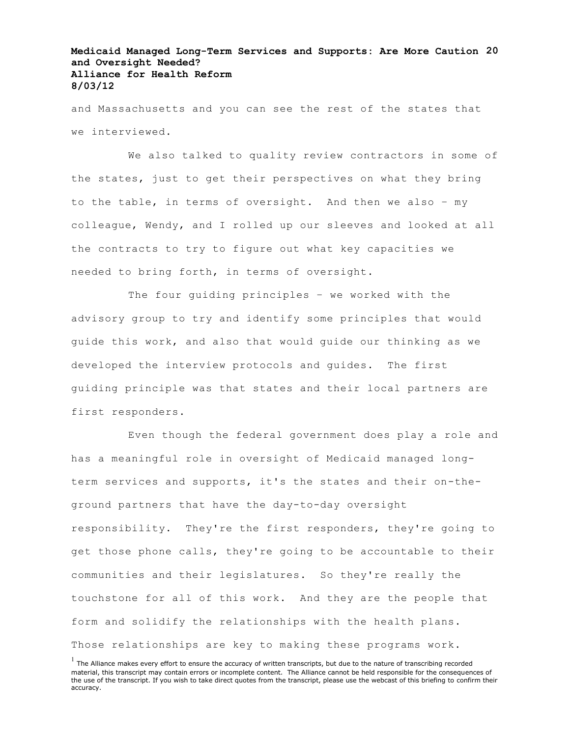# **Medicaid Managed Long-Term Services and Supports: Are More Caution 20 and Oversight Needed? Alliance for Health Reform 8/03/12**

and Massachusetts and you can see the rest of the states that we interviewed.

We also talked to quality review contractors in some of the states, just to get their perspectives on what they bring to the table, in terms of oversight. And then we also – my colleague, Wendy, and I rolled up our sleeves and looked at all the contracts to try to figure out what key capacities we needed to bring forth, in terms of oversight.

The four guiding principles – we worked with the advisory group to try and identify some principles that would guide this work, and also that would guide our thinking as we developed the interview protocols and guides. The first guiding principle was that states and their local partners are first responders.

Even though the federal government does play a role and has a meaningful role in oversight of Medicaid managed longterm services and supports, it's the states and their on-theground partners that have the day-to-day oversight responsibility. They're the first responders, they're going to get those phone calls, they're going to be accountable to their communities and their legislatures. So they're really the touchstone for all of this work. And they are the people that form and solidify the relationships with the health plans. Those relationships are key to making these programs work.

 $<sup>1</sup>$  The Alliance makes every effort to ensure the accuracy of written transcripts, but due to the nature of transcribing recorded</sup> material, this transcript may contain errors or incomplete content. The Alliance cannot be held responsible for the consequences of the use of the transcript. If you wish to take direct quotes from the transcript, please use the webcast of this briefing to confirm their accuracy.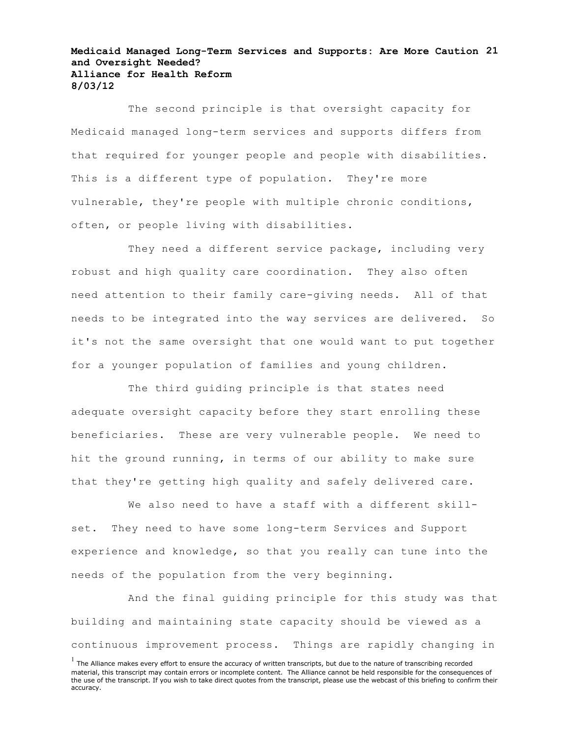## **Medicaid Managed Long-Term Services and Supports: Are More Caution 21 and Oversight Needed? Alliance for Health Reform 8/03/12**

The second principle is that oversight capacity for Medicaid managed long-term services and supports differs from that required for younger people and people with disabilities. This is a different type of population. They're more vulnerable, they're people with multiple chronic conditions, often, or people living with disabilities.

They need a different service package, including very robust and high quality care coordination. They also often need attention to their family care-giving needs. All of that needs to be integrated into the way services are delivered. So it's not the same oversight that one would want to put together for a younger population of families and young children.

The third guiding principle is that states need adequate oversight capacity before they start enrolling these beneficiaries. These are very vulnerable people. We need to hit the ground running, in terms of our ability to make sure that they're getting high quality and safely delivered care.

We also need to have a staff with a different skillset. They need to have some long-term Services and Support experience and knowledge, so that you really can tune into the needs of the population from the very beginning.

And the final guiding principle for this study was that building and maintaining state capacity should be viewed as a continuous improvement process. Things are rapidly changing in

 $<sup>1</sup>$  The Alliance makes every effort to ensure the accuracy of written transcripts, but due to the nature of transcribing recorded</sup> material, this transcript may contain errors or incomplete content. The Alliance cannot be held responsible for the consequences of the use of the transcript. If you wish to take direct quotes from the transcript, please use the webcast of this briefing to confirm their accuracy.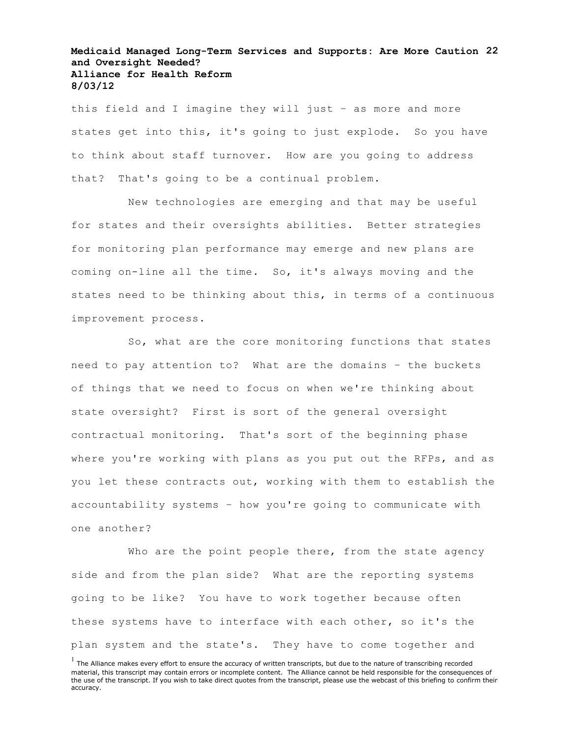# **Medicaid Managed Long-Term Services and Supports: Are More Caution 22 and Oversight Needed? Alliance for Health Reform 8/03/12**

this field and I imagine they will just – as more and more states get into this, it's going to just explode. So you have to think about staff turnover. How are you going to address that? That's going to be a continual problem.

New technologies are emerging and that may be useful for states and their oversights abilities. Better strategies for monitoring plan performance may emerge and new plans are coming on-line all the time. So, it's always moving and the states need to be thinking about this, in terms of a continuous improvement process.

So, what are the core monitoring functions that states need to pay attention to? What are the domains – the buckets of things that we need to focus on when we're thinking about state oversight? First is sort of the general oversight contractual monitoring. That's sort of the beginning phase where you're working with plans as you put out the RFPs, and as you let these contracts out, working with them to establish the accountability systems – how you're going to communicate with one another?

Who are the point people there, from the state agency side and from the plan side? What are the reporting systems going to be like? You have to work together because often these systems have to interface with each other, so it's the plan system and the state's. They have to come together and

 $<sup>1</sup>$  The Alliance makes every effort to ensure the accuracy of written transcripts, but due to the nature of transcribing recorded</sup> material, this transcript may contain errors or incomplete content. The Alliance cannot be held responsible for the consequences of the use of the transcript. If you wish to take direct quotes from the transcript, please use the webcast of this briefing to confirm their accuracy.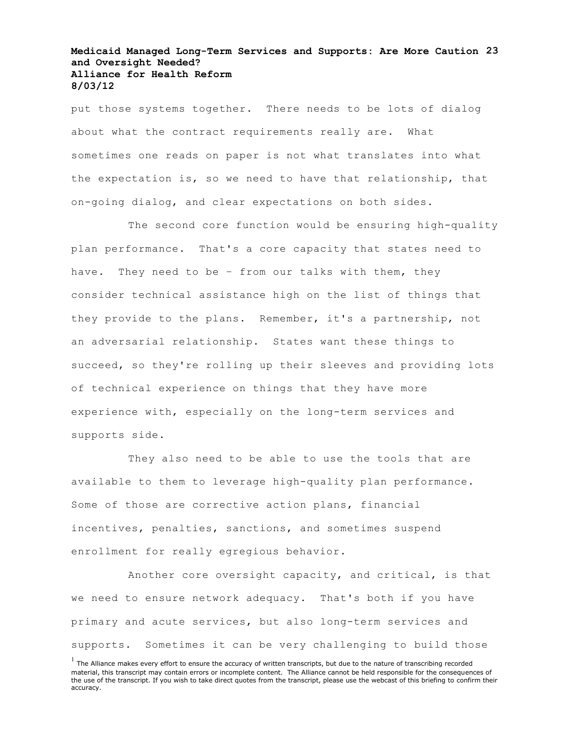## **Medicaid Managed Long-Term Services and Supports: Are More Caution 23 and Oversight Needed? Alliance for Health Reform 8/03/12**

put those systems together. There needs to be lots of dialog about what the contract requirements really are. What sometimes one reads on paper is not what translates into what the expectation is, so we need to have that relationship, that on-going dialog, and clear expectations on both sides.

The second core function would be ensuring high-quality plan performance. That's a core capacity that states need to have. They need to be – from our talks with them, they consider technical assistance high on the list of things that they provide to the plans. Remember, it's a partnership, not an adversarial relationship. States want these things to succeed, so they're rolling up their sleeves and providing lots of technical experience on things that they have more experience with, especially on the long-term services and supports side.

They also need to be able to use the tools that are available to them to leverage high-quality plan performance. Some of those are corrective action plans, financial incentives, penalties, sanctions, and sometimes suspend enrollment for really egregious behavior.

Another core oversight capacity, and critical, is that we need to ensure network adequacy. That's both if you have primary and acute services, but also long-term services and supports. Sometimes it can be very challenging to build those

 $<sup>1</sup>$  The Alliance makes every effort to ensure the accuracy of written transcripts, but due to the nature of transcribing recorded</sup> material, this transcript may contain errors or incomplete content. The Alliance cannot be held responsible for the consequences of the use of the transcript. If you wish to take direct quotes from the transcript, please use the webcast of this briefing to confirm their accuracy.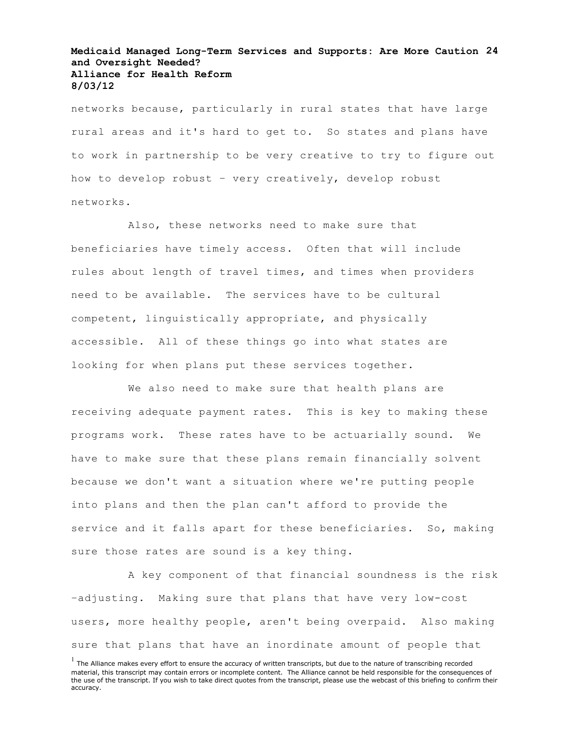# **Medicaid Managed Long-Term Services and Supports: Are More Caution 24 and Oversight Needed? Alliance for Health Reform 8/03/12**

networks because, particularly in rural states that have large rural areas and it's hard to get to. So states and plans have to work in partnership to be very creative to try to figure out how to develop robust – very creatively, develop robust networks.

Also, these networks need to make sure that beneficiaries have timely access. Often that will include rules about length of travel times, and times when providers need to be available. The services have to be cultural competent, linguistically appropriate, and physically accessible. All of these things go into what states are looking for when plans put these services together.

We also need to make sure that health plans are receiving adequate payment rates. This is key to making these programs work. These rates have to be actuarially sound. We have to make sure that these plans remain financially solvent because we don't want a situation where we're putting people into plans and then the plan can't afford to provide the service and it falls apart for these beneficiaries. So, making sure those rates are sound is a key thing.

A key component of that financial soundness is the risk –adjusting. Making sure that plans that have very low-cost users, more healthy people, aren't being overpaid. Also making sure that plans that have an inordinate amount of people that

 $<sup>1</sup>$  The Alliance makes every effort to ensure the accuracy of written transcripts, but due to the nature of transcribing recorded</sup> material, this transcript may contain errors or incomplete content. The Alliance cannot be held responsible for the consequences of the use of the transcript. If you wish to take direct quotes from the transcript, please use the webcast of this briefing to confirm their accuracy.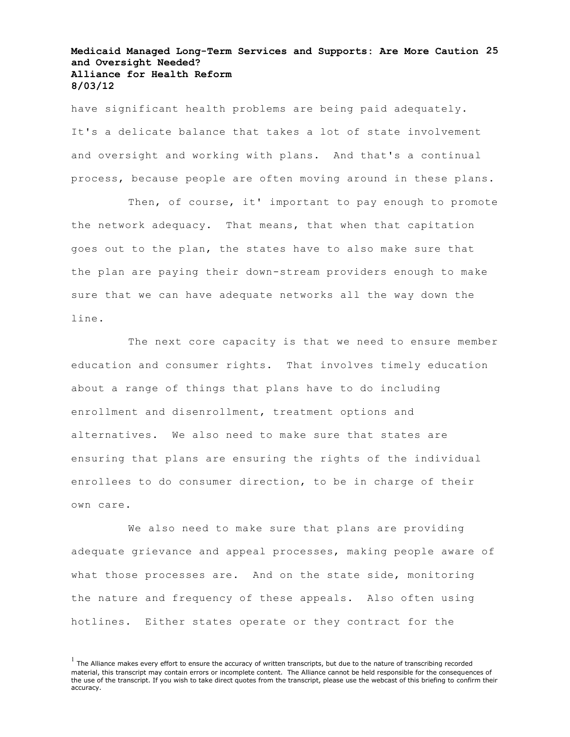# **Medicaid Managed Long-Term Services and Supports: Are More Caution 25 and Oversight Needed? Alliance for Health Reform 8/03/12**

have significant health problems are being paid adequately. It's a delicate balance that takes a lot of state involvement and oversight and working with plans. And that's a continual process, because people are often moving around in these plans.

Then, of course, it' important to pay enough to promote the network adequacy. That means, that when that capitation goes out to the plan, the states have to also make sure that the plan are paying their down-stream providers enough to make sure that we can have adequate networks all the way down the line.

The next core capacity is that we need to ensure member education and consumer rights. That involves timely education about a range of things that plans have to do including enrollment and disenrollment, treatment options and alternatives. We also need to make sure that states are ensuring that plans are ensuring the rights of the individual enrollees to do consumer direction, to be in charge of their own care.

We also need to make sure that plans are providing adequate grievance and appeal processes, making people aware of what those processes are. And on the state side, monitoring the nature and frequency of these appeals. Also often using hotlines. Either states operate or they contract for the

 $<sup>1</sup>$  The Alliance makes every effort to ensure the accuracy of written transcripts, but due to the nature of transcribing recorded</sup> material, this transcript may contain errors or incomplete content. The Alliance cannot be held responsible for the consequences of the use of the transcript. If you wish to take direct quotes from the transcript, please use the webcast of this briefing to confirm their accuracy.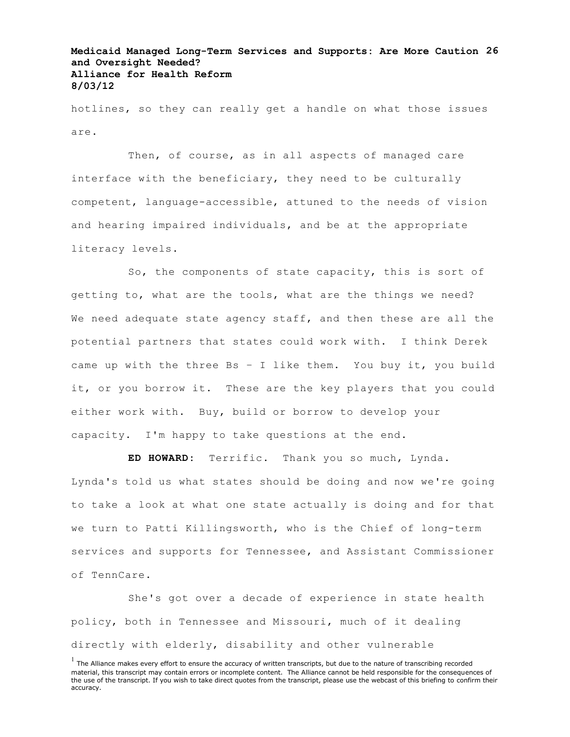# **Medicaid Managed Long-Term Services and Supports: Are More Caution 26 and Oversight Needed? Alliance for Health Reform 8/03/12**

hotlines, so they can really get a handle on what those issues are.

Then, of course, as in all aspects of managed care interface with the beneficiary, they need to be culturally competent, language-accessible, attuned to the needs of vision and hearing impaired individuals, and be at the appropriate literacy levels.

So, the components of state capacity, this is sort of getting to, what are the tools, what are the things we need? We need adequate state agency staff, and then these are all the potential partners that states could work with. I think Derek came up with the three Bs - I like them. You buy it, you build it, or you borrow it. These are the key players that you could either work with. Buy, build or borrow to develop your capacity. I'm happy to take questions at the end.

**ED HOWARD:** Terrific. Thank you so much, Lynda.

Lynda's told us what states should be doing and now we're going to take a look at what one state actually is doing and for that we turn to Patti Killingsworth, who is the Chief of long-term services and supports for Tennessee, and Assistant Commissioner of TennCare.

She's got over a decade of experience in state health policy, both in Tennessee and Missouri, much of it dealing directly with elderly, disability and other vulnerable

 $<sup>1</sup>$  The Alliance makes every effort to ensure the accuracy of written transcripts, but due to the nature of transcribing recorded</sup> material, this transcript may contain errors or incomplete content. The Alliance cannot be held responsible for the consequences of the use of the transcript. If you wish to take direct quotes from the transcript, please use the webcast of this briefing to confirm their accuracy.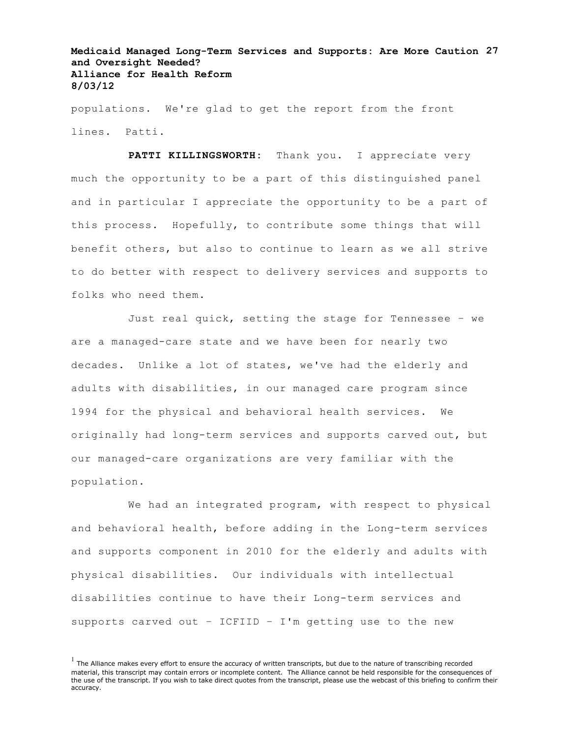# **Medicaid Managed Long-Term Services and Supports: Are More Caution 27 and Oversight Needed? Alliance for Health Reform 8/03/12**

populations. We're glad to get the report from the front lines. Patti.

PATTI KILLINGSWORTH: Thank you. I appreciate very much the opportunity to be a part of this distinguished panel and in particular I appreciate the opportunity to be a part of this process. Hopefully, to contribute some things that will benefit others, but also to continue to learn as we all strive to do better with respect to delivery services and supports to folks who need them.

Just real quick, setting the stage for Tennessee – we are a managed-care state and we have been for nearly two decades. Unlike a lot of states, we've had the elderly and adults with disabilities, in our managed care program since 1994 for the physical and behavioral health services. We originally had long-term services and supports carved out, but our managed-care organizations are very familiar with the population.

We had an integrated program, with respect to physical and behavioral health, before adding in the Long-term services and supports component in 2010 for the elderly and adults with physical disabilities. Our individuals with intellectual disabilities continue to have their Long-term services and supports carved out – ICFIID – I'm getting use to the new

 $<sup>1</sup>$  The Alliance makes every effort to ensure the accuracy of written transcripts, but due to the nature of transcribing recorded</sup> material, this transcript may contain errors or incomplete content. The Alliance cannot be held responsible for the consequences of the use of the transcript. If you wish to take direct quotes from the transcript, please use the webcast of this briefing to confirm their accuracy.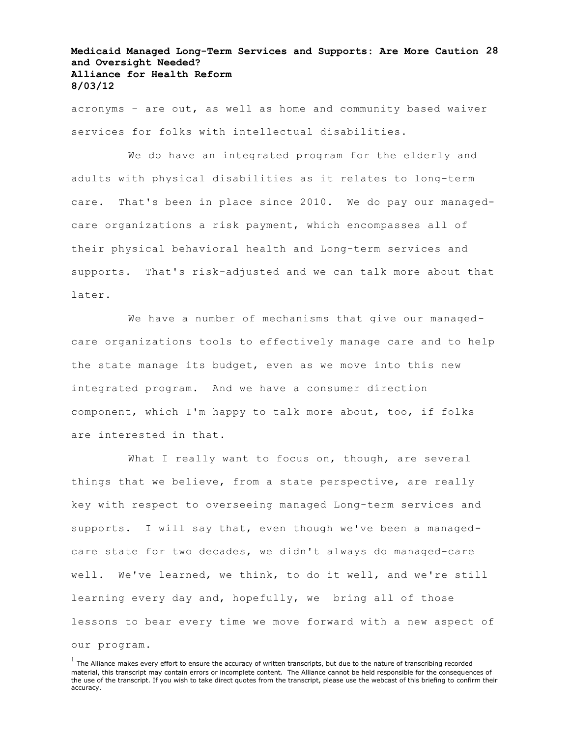# **Medicaid Managed Long-Term Services and Supports: Are More Caution 28 and Oversight Needed? Alliance for Health Reform 8/03/12**

acronyms – are out, as well as home and community based waiver services for folks with intellectual disabilities.

We do have an integrated program for the elderly and adults with physical disabilities as it relates to long-term care. That's been in place since 2010. We do pay our managedcare organizations a risk payment, which encompasses all of their physical behavioral health and Long-term services and supports. That's risk-adjusted and we can talk more about that later.

We have a number of mechanisms that give our managedcare organizations tools to effectively manage care and to help the state manage its budget, even as we move into this new integrated program. And we have a consumer direction component, which I'm happy to talk more about, too, if folks are interested in that.

What I really want to focus on, though, are several things that we believe, from a state perspective, are really key with respect to overseeing managed Long-term services and supports. I will say that, even though we've been a managedcare state for two decades, we didn't always do managed-care well. We've learned, we think, to do it well, and we're still learning every day and, hopefully, we bring all of those lessons to bear every time we move forward with a new aspect of

our program.

 $<sup>1</sup>$  The Alliance makes every effort to ensure the accuracy of written transcripts, but due to the nature of transcribing recorded</sup> material, this transcript may contain errors or incomplete content. The Alliance cannot be held responsible for the consequences of the use of the transcript. If you wish to take direct quotes from the transcript, please use the webcast of this briefing to confirm their accuracy.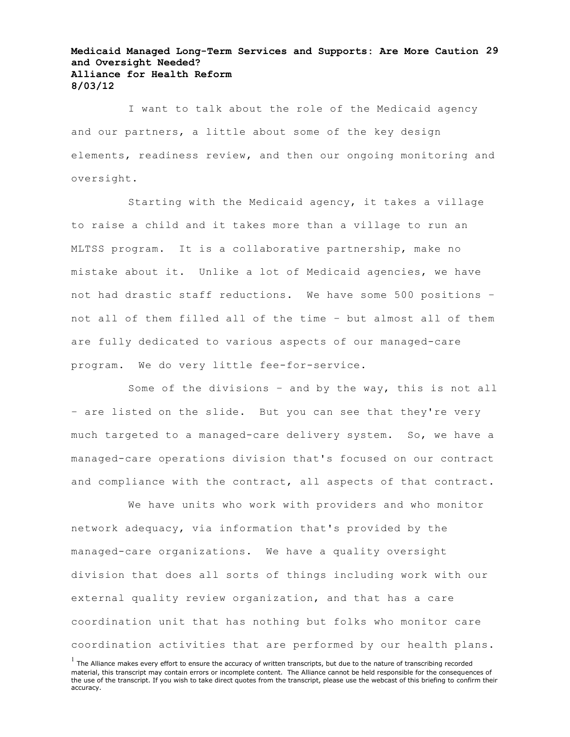# **Medicaid Managed Long-Term Services and Supports: Are More Caution 29 and Oversight Needed? Alliance for Health Reform 8/03/12**

I want to talk about the role of the Medicaid agency and our partners, a little about some of the key design elements, readiness review, and then our ongoing monitoring and oversight.

Starting with the Medicaid agency, it takes a village to raise a child and it takes more than a village to run an MLTSS program. It is a collaborative partnership, make no mistake about it. Unlike a lot of Medicaid agencies, we have not had drastic staff reductions. We have some 500 positions – not all of them filled all of the time – but almost all of them are fully dedicated to various aspects of our managed-care program. We do very little fee-for-service.

Some of the divisions – and by the way, this is not all – are listed on the slide. But you can see that they're very much targeted to a managed-care delivery system. So, we have a managed-care operations division that's focused on our contract and compliance with the contract, all aspects of that contract.

We have units who work with providers and who monitor network adequacy, via information that's provided by the managed-care organizations. We have a quality oversight division that does all sorts of things including work with our external quality review organization, and that has a care coordination unit that has nothing but folks who monitor care coordination activities that are performed by our health plans.

 $<sup>1</sup>$  The Alliance makes every effort to ensure the accuracy of written transcripts, but due to the nature of transcribing recorded</sup> material, this transcript may contain errors or incomplete content. The Alliance cannot be held responsible for the consequences of the use of the transcript. If you wish to take direct quotes from the transcript, please use the webcast of this briefing to confirm their accuracy.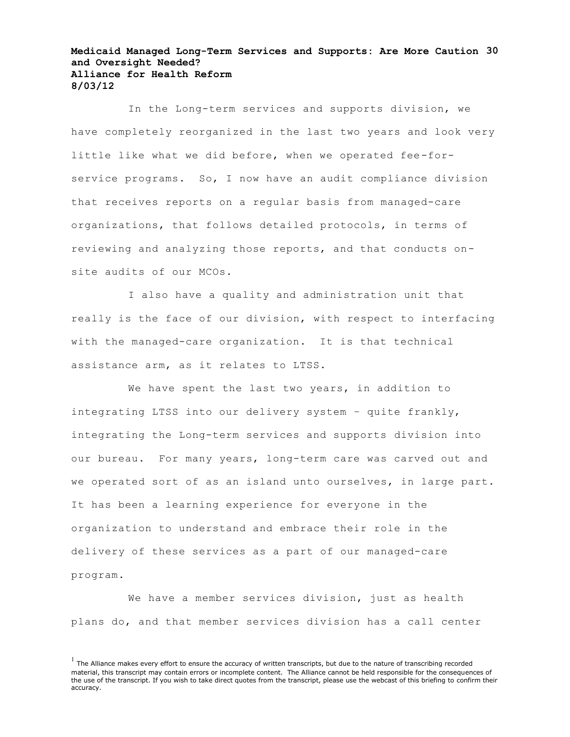### **Medicaid Managed Long-Term Services and Supports: Are More Caution 30 and Oversight Needed? Alliance for Health Reform 8/03/12**

In the Long-term services and supports division, we have completely reorganized in the last two years and look very little like what we did before, when we operated fee-forservice programs. So, I now have an audit compliance division that receives reports on a regular basis from managed-care organizations, that follows detailed protocols, in terms of reviewing and analyzing those reports, and that conducts onsite audits of our MCOs.

I also have a quality and administration unit that really is the face of our division, with respect to interfacing with the managed-care organization. It is that technical assistance arm, as it relates to LTSS.

We have spent the last two years, in addition to integrating LTSS into our delivery system – quite frankly, integrating the Long-term services and supports division into our bureau. For many years, long-term care was carved out and we operated sort of as an island unto ourselves, in large part. It has been a learning experience for everyone in the organization to understand and embrace their role in the delivery of these services as a part of our managed-care program.

We have a member services division, just as health plans do, and that member services division has a call center

 $<sup>1</sup>$  The Alliance makes every effort to ensure the accuracy of written transcripts, but due to the nature of transcribing recorded</sup> material, this transcript may contain errors or incomplete content. The Alliance cannot be held responsible for the consequences of the use of the transcript. If you wish to take direct quotes from the transcript, please use the webcast of this briefing to confirm their accuracy.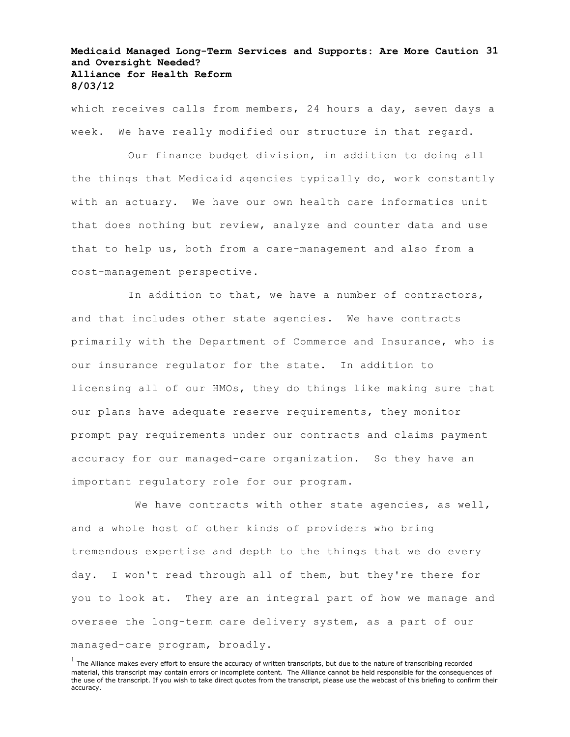# **Medicaid Managed Long-Term Services and Supports: Are More Caution 31 and Oversight Needed? Alliance for Health Reform 8/03/12**

which receives calls from members, 24 hours a day, seven days a week. We have really modified our structure in that regard.

Our finance budget division, in addition to doing all the things that Medicaid agencies typically do, work constantly with an actuary. We have our own health care informatics unit that does nothing but review, analyze and counter data and use that to help us, both from a care-management and also from a cost-management perspective.

In addition to that, we have a number of contractors, and that includes other state agencies. We have contracts primarily with the Department of Commerce and Insurance, who is our insurance regulator for the state. In addition to licensing all of our HMOs, they do things like making sure that our plans have adequate reserve requirements, they monitor prompt pay requirements under our contracts and claims payment accuracy for our managed-care organization. So they have an important regulatory role for our program.

We have contracts with other state agencies, as well, and a whole host of other kinds of providers who bring tremendous expertise and depth to the things that we do every day. I won't read through all of them, but they're there for you to look at. They are an integral part of how we manage and oversee the long-term care delivery system, as a part of our managed-care program, broadly.

 $<sup>1</sup>$  The Alliance makes every effort to ensure the accuracy of written transcripts, but due to the nature of transcribing recorded</sup> material, this transcript may contain errors or incomplete content. The Alliance cannot be held responsible for the consequences of the use of the transcript. If you wish to take direct quotes from the transcript, please use the webcast of this briefing to confirm their accuracy.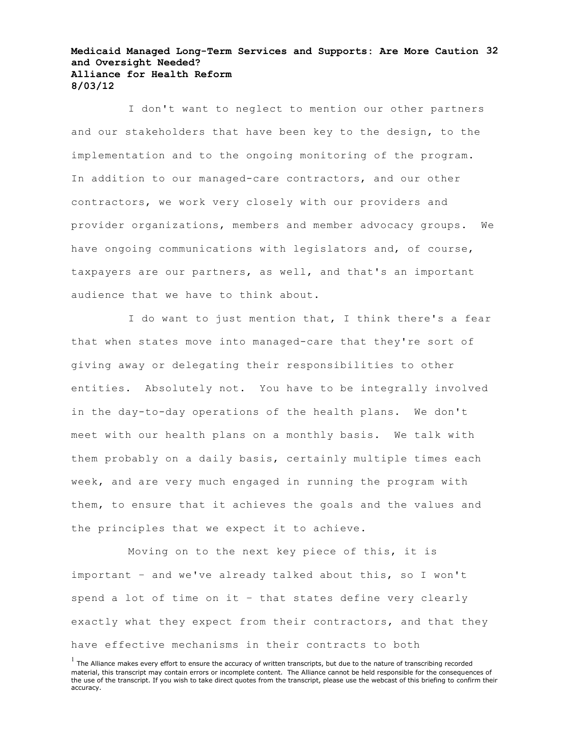### **Medicaid Managed Long-Term Services and Supports: Are More Caution 32 and Oversight Needed? Alliance for Health Reform 8/03/12**

I don't want to neglect to mention our other partners and our stakeholders that have been key to the design, to the implementation and to the ongoing monitoring of the program. In addition to our managed-care contractors, and our other contractors, we work very closely with our providers and provider organizations, members and member advocacy groups. We have ongoing communications with legislators and, of course, taxpayers are our partners, as well, and that's an important audience that we have to think about.

I do want to just mention that, I think there's a fear that when states move into managed-care that they're sort of giving away or delegating their responsibilities to other entities. Absolutely not. You have to be integrally involved in the day-to-day operations of the health plans. We don't meet with our health plans on a monthly basis. We talk with them probably on a daily basis, certainly multiple times each week, and are very much engaged in running the program with them, to ensure that it achieves the goals and the values and the principles that we expect it to achieve.

Moving on to the next key piece of this, it is important – and we've already talked about this, so I won't spend a lot of time on it – that states define very clearly exactly what they expect from their contractors, and that they have effective mechanisms in their contracts to both

 $<sup>1</sup>$  The Alliance makes every effort to ensure the accuracy of written transcripts, but due to the nature of transcribing recorded</sup> material, this transcript may contain errors or incomplete content. The Alliance cannot be held responsible for the consequences of the use of the transcript. If you wish to take direct quotes from the transcript, please use the webcast of this briefing to confirm their accuracy.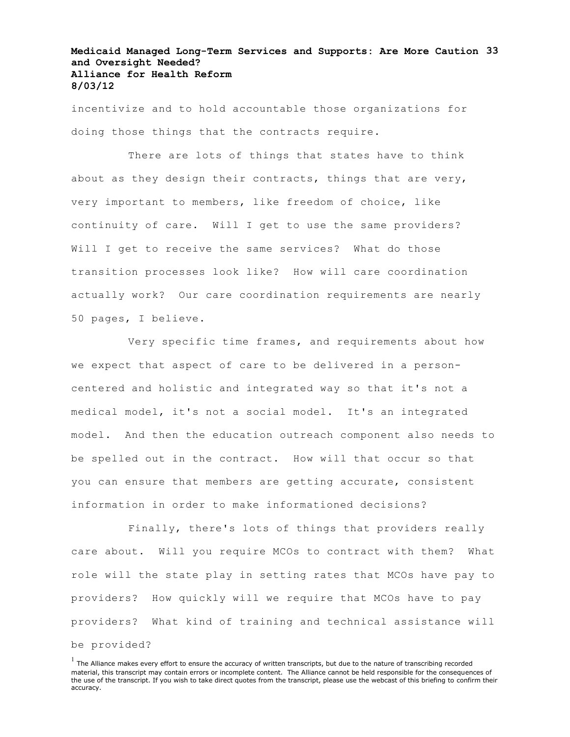# **Medicaid Managed Long-Term Services and Supports: Are More Caution 33 and Oversight Needed? Alliance for Health Reform 8/03/12**

incentivize and to hold accountable those organizations for doing those things that the contracts require.

There are lots of things that states have to think about as they design their contracts, things that are very, very important to members, like freedom of choice, like continuity of care. Will I get to use the same providers? Will I get to receive the same services? What do those transition processes look like? How will care coordination actually work? Our care coordination requirements are nearly 50 pages, I believe.

Very specific time frames, and requirements about how we expect that aspect of care to be delivered in a personcentered and holistic and integrated way so that it's not a medical model, it's not a social model. It's an integrated model. And then the education outreach component also needs to be spelled out in the contract. How will that occur so that you can ensure that members are getting accurate, consistent information in order to make informationed decisions?

Finally, there's lots of things that providers really care about. Will you require MCOs to contract with them? What role will the state play in setting rates that MCOs have pay to providers? How quickly will we require that MCOs have to pay providers? What kind of training and technical assistance will be provided?

 $<sup>1</sup>$  The Alliance makes every effort to ensure the accuracy of written transcripts, but due to the nature of transcribing recorded</sup> material, this transcript may contain errors or incomplete content. The Alliance cannot be held responsible for the consequences of the use of the transcript. If you wish to take direct quotes from the transcript, please use the webcast of this briefing to confirm their accuracy.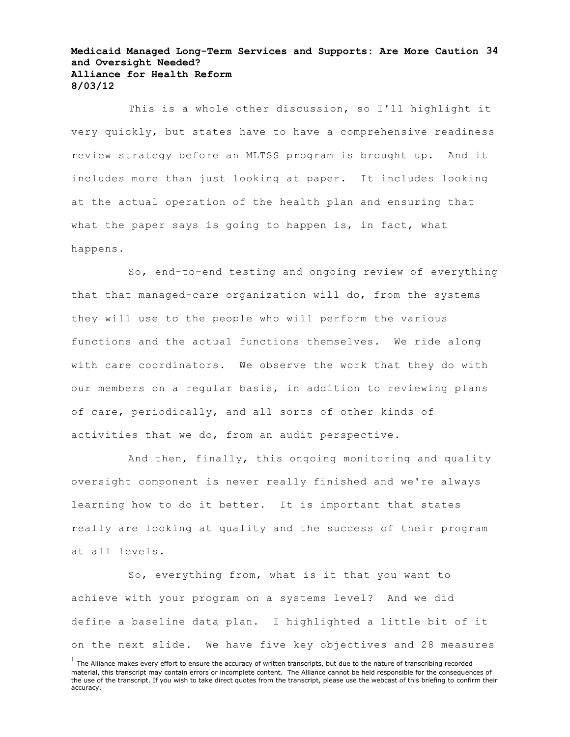### **Medicaid Managed Long-Term Services and Supports: Are More Caution 34 and Oversight Needed? Alliance for Health Reform 8/03/12**

This is a whole other discussion, so I'll highlight it very quickly, but states have to have a comprehensive readiness review strategy before an MLTSS program is brought up. And it includes more than just looking at paper. It includes looking at the actual operation of the health plan and ensuring that what the paper says is going to happen is, in fact, what happens.

So, end-to-end testing and ongoing review of everything that that managed-care organization will do, from the systems they will use to the people who will perform the various functions and the actual functions themselves. We ride along with care coordinators. We observe the work that they do with our members on a regular basis, in addition to reviewing plans of care, periodically, and all sorts of other kinds of activities that we do, from an audit perspective.

And then, finally, this ongoing monitoring and quality oversight component is never really finished and we're always learning how to do it better. It is important that states really are looking at quality and the success of their program at all levels.

So, everything from, what is it that you want to achieve with your program on a systems level? And we did define a baseline data plan. I highlighted a little bit of it on the next slide. We have five key objectives and 28 measures

 $<sup>1</sup>$  The Alliance makes every effort to ensure the accuracy of written transcripts, but due to the nature of transcribing recorded</sup> material, this transcript may contain errors or incomplete content. The Alliance cannot be held responsible for the consequences of the use of the transcript. If you wish to take direct quotes from the transcript, please use the webcast of this briefing to confirm their accuracy.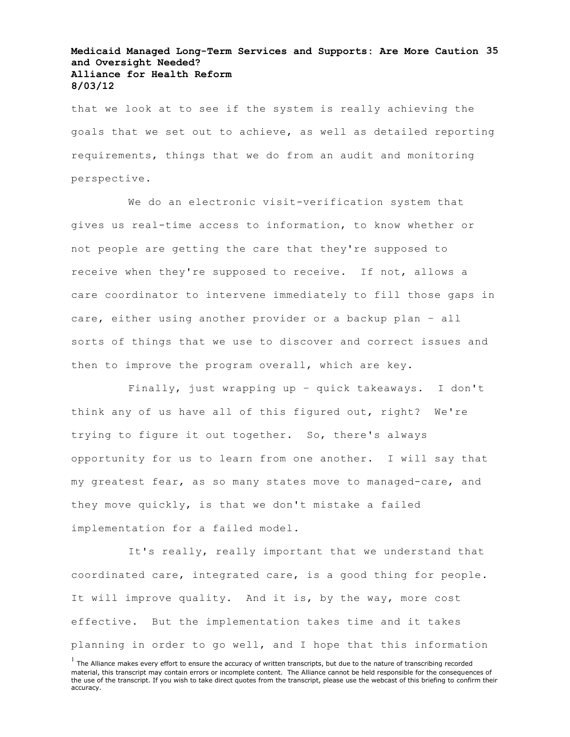# **Medicaid Managed Long-Term Services and Supports: Are More Caution 35 and Oversight Needed? Alliance for Health Reform 8/03/12**

that we look at to see if the system is really achieving the goals that we set out to achieve, as well as detailed reporting requirements, things that we do from an audit and monitoring perspective.

We do an electronic visit-verification system that gives us real-time access to information, to know whether or not people are getting the care that they're supposed to receive when they're supposed to receive. If not, allows a care coordinator to intervene immediately to fill those gaps in care, either using another provider or a backup plan – all sorts of things that we use to discover and correct issues and then to improve the program overall, which are key.

Finally, just wrapping up – quick takeaways. I don't think any of us have all of this figured out, right? We're trying to figure it out together. So, there's always opportunity for us to learn from one another. I will say that my greatest fear, as so many states move to managed-care, and they move quickly, is that we don't mistake a failed implementation for a failed model.

It's really, really important that we understand that coordinated care, integrated care, is a good thing for people. It will improve quality. And it is, by the way, more cost effective. But the implementation takes time and it takes planning in order to go well, and I hope that this information

 $<sup>1</sup>$  The Alliance makes every effort to ensure the accuracy of written transcripts, but due to the nature of transcribing recorded</sup> material, this transcript may contain errors or incomplete content. The Alliance cannot be held responsible for the consequences of the use of the transcript. If you wish to take direct quotes from the transcript, please use the webcast of this briefing to confirm their accuracy.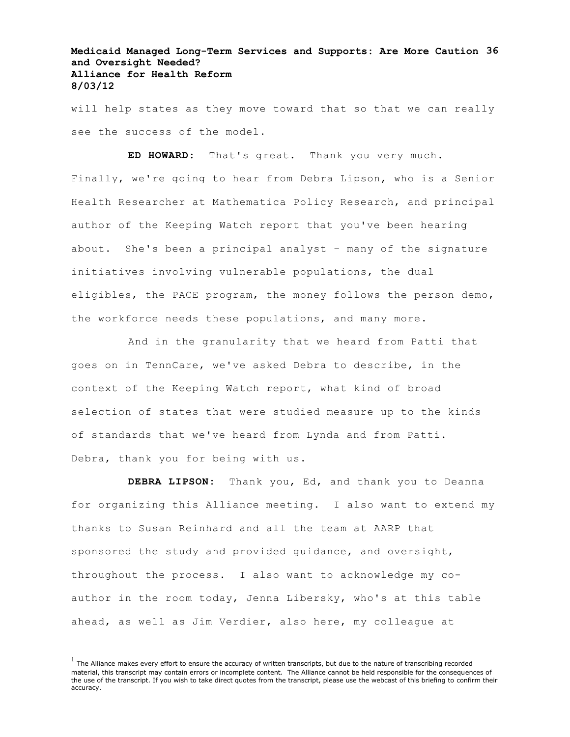# **Medicaid Managed Long-Term Services and Supports: Are More Caution 36 and Oversight Needed? Alliance for Health Reform 8/03/12**

will help states as they move toward that so that we can really see the success of the model.

**ED HOWARD:** That's great. Thank you very much. Finally, we're going to hear from Debra Lipson, who is a Senior Health Researcher at Mathematica Policy Research, and principal author of the Keeping Watch report that you've been hearing about. She's been a principal analyst – many of the signature initiatives involving vulnerable populations, the dual eligibles, the PACE program, the money follows the person demo, the workforce needs these populations, and many more.

And in the granularity that we heard from Patti that goes on in TennCare, we've asked Debra to describe, in the context of the Keeping Watch report, what kind of broad selection of states that were studied measure up to the kinds of standards that we've heard from Lynda and from Patti. Debra, thank you for being with us.

**DEBRA LIPSON:** Thank you, Ed, and thank you to Deanna for organizing this Alliance meeting. I also want to extend my thanks to Susan Reinhard and all the team at AARP that sponsored the study and provided guidance, and oversight, throughout the process. I also want to acknowledge my coauthor in the room today, Jenna Libersky, who's at this table ahead, as well as Jim Verdier, also here, my colleague at

 $<sup>1</sup>$  The Alliance makes every effort to ensure the accuracy of written transcripts, but due to the nature of transcribing recorded</sup> material, this transcript may contain errors or incomplete content. The Alliance cannot be held responsible for the consequences of the use of the transcript. If you wish to take direct quotes from the transcript, please use the webcast of this briefing to confirm their accuracy.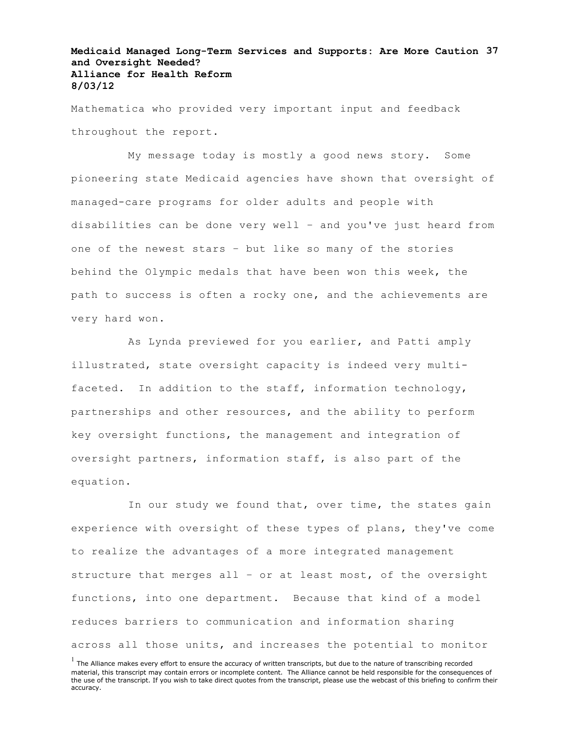# **Medicaid Managed Long-Term Services and Supports: Are More Caution 37 and Oversight Needed? Alliance for Health Reform 8/03/12**

Mathematica who provided very important input and feedback throughout the report.

My message today is mostly a good news story. Some pioneering state Medicaid agencies have shown that oversight of managed-care programs for older adults and people with disabilities can be done very well – and you've just heard from one of the newest stars – but like so many of the stories behind the Olympic medals that have been won this week, the path to success is often a rocky one, and the achievements are very hard won.

As Lynda previewed for you earlier, and Patti amply illustrated, state oversight capacity is indeed very multifaceted. In addition to the staff, information technology, partnerships and other resources, and the ability to perform key oversight functions, the management and integration of oversight partners, information staff, is also part of the equation.

In our study we found that, over time, the states gain experience with oversight of these types of plans, they've come to realize the advantages of a more integrated management structure that merges all – or at least most, of the oversight functions, into one department. Because that kind of a model reduces barriers to communication and information sharing across all those units, and increases the potential to monitor

 $<sup>1</sup>$  The Alliance makes every effort to ensure the accuracy of written transcripts, but due to the nature of transcribing recorded</sup> material, this transcript may contain errors or incomplete content. The Alliance cannot be held responsible for the consequences of the use of the transcript. If you wish to take direct quotes from the transcript, please use the webcast of this briefing to confirm their accuracy.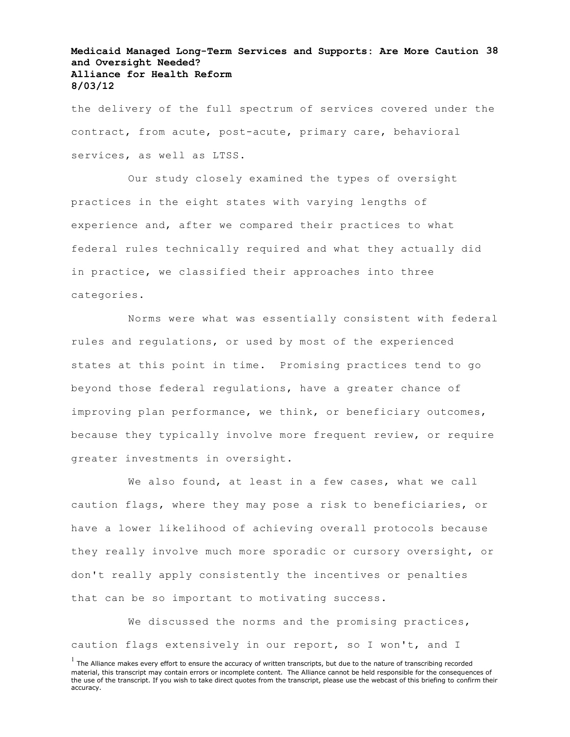# **Medicaid Managed Long-Term Services and Supports: Are More Caution 38 and Oversight Needed? Alliance for Health Reform 8/03/12**

the delivery of the full spectrum of services covered under the contract, from acute, post-acute, primary care, behavioral services, as well as LTSS.

Our study closely examined the types of oversight practices in the eight states with varying lengths of experience and, after we compared their practices to what federal rules technically required and what they actually did in practice, we classified their approaches into three categories.

Norms were what was essentially consistent with federal rules and regulations, or used by most of the experienced states at this point in time. Promising practices tend to go beyond those federal regulations, have a greater chance of improving plan performance, we think, or beneficiary outcomes, because they typically involve more frequent review, or require greater investments in oversight.

We also found, at least in a few cases, what we call caution flags, where they may pose a risk to beneficiaries, or have a lower likelihood of achieving overall protocols because they really involve much more sporadic or cursory oversight, or don't really apply consistently the incentives or penalties that can be so important to motivating success.

We discussed the norms and the promising practices, caution flags extensively in our report, so I won't, and I

 $<sup>1</sup>$  The Alliance makes every effort to ensure the accuracy of written transcripts, but due to the nature of transcribing recorded</sup> material, this transcript may contain errors or incomplete content. The Alliance cannot be held responsible for the consequences of the use of the transcript. If you wish to take direct quotes from the transcript, please use the webcast of this briefing to confirm their accuracy.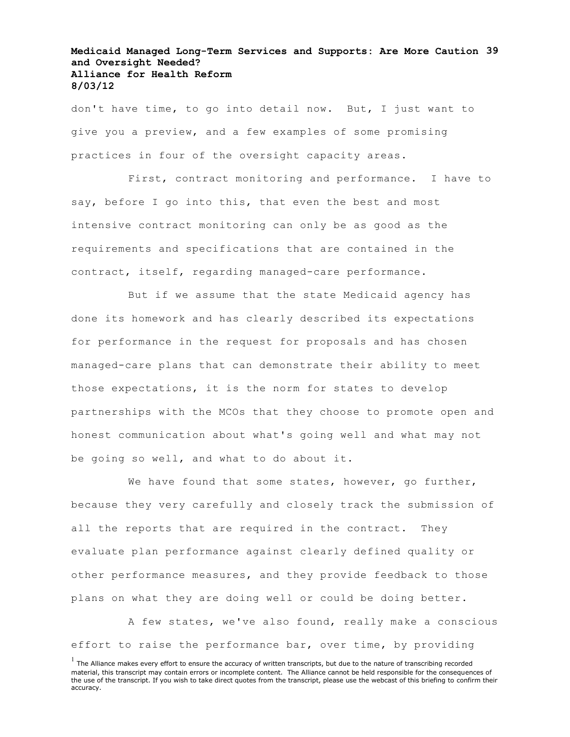# **Medicaid Managed Long-Term Services and Supports: Are More Caution 39 and Oversight Needed? Alliance for Health Reform 8/03/12**

don't have time, to go into detail now. But, I just want to give you a preview, and a few examples of some promising practices in four of the oversight capacity areas.

First, contract monitoring and performance. I have to say, before I go into this, that even the best and most intensive contract monitoring can only be as good as the requirements and specifications that are contained in the contract, itself, regarding managed-care performance.

But if we assume that the state Medicaid agency has done its homework and has clearly described its expectations for performance in the request for proposals and has chosen managed-care plans that can demonstrate their ability to meet those expectations, it is the norm for states to develop partnerships with the MCOs that they choose to promote open and honest communication about what's going well and what may not be going so well, and what to do about it.

We have found that some states, however, go further, because they very carefully and closely track the submission of all the reports that are required in the contract. They evaluate plan performance against clearly defined quality or other performance measures, and they provide feedback to those plans on what they are doing well or could be doing better.

A few states, we've also found, really make a conscious effort to raise the performance bar, over time, by providing

 $<sup>1</sup>$  The Alliance makes every effort to ensure the accuracy of written transcripts, but due to the nature of transcribing recorded</sup> material, this transcript may contain errors or incomplete content. The Alliance cannot be held responsible for the consequences of the use of the transcript. If you wish to take direct quotes from the transcript, please use the webcast of this briefing to confirm their accuracy.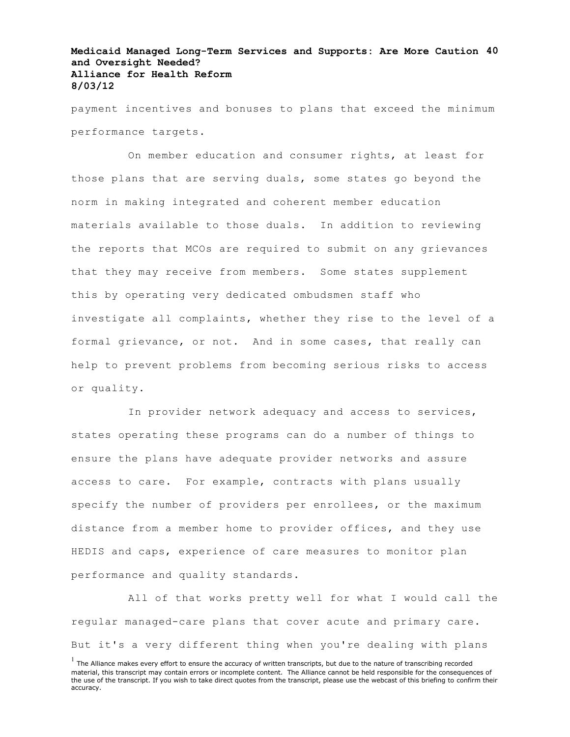# **Medicaid Managed Long-Term Services and Supports: Are More Caution 40 and Oversight Needed? Alliance for Health Reform 8/03/12**

payment incentives and bonuses to plans that exceed the minimum performance targets.

On member education and consumer rights, at least for those plans that are serving duals, some states go beyond the norm in making integrated and coherent member education materials available to those duals. In addition to reviewing the reports that MCOs are required to submit on any grievances that they may receive from members. Some states supplement this by operating very dedicated ombudsmen staff who investigate all complaints, whether they rise to the level of a formal grievance, or not. And in some cases, that really can help to prevent problems from becoming serious risks to access or quality.

In provider network adequacy and access to services, states operating these programs can do a number of things to ensure the plans have adequate provider networks and assure access to care. For example, contracts with plans usually specify the number of providers per enrollees, or the maximum distance from a member home to provider offices, and they use HEDIS and caps, experience of care measures to monitor plan performance and quality standards.

All of that works pretty well for what I would call the regular managed-care plans that cover acute and primary care. But it's a very different thing when you're dealing with plans

 $<sup>1</sup>$  The Alliance makes every effort to ensure the accuracy of written transcripts, but due to the nature of transcribing recorded</sup> material, this transcript may contain errors or incomplete content. The Alliance cannot be held responsible for the consequences of the use of the transcript. If you wish to take direct quotes from the transcript, please use the webcast of this briefing to confirm their accuracy.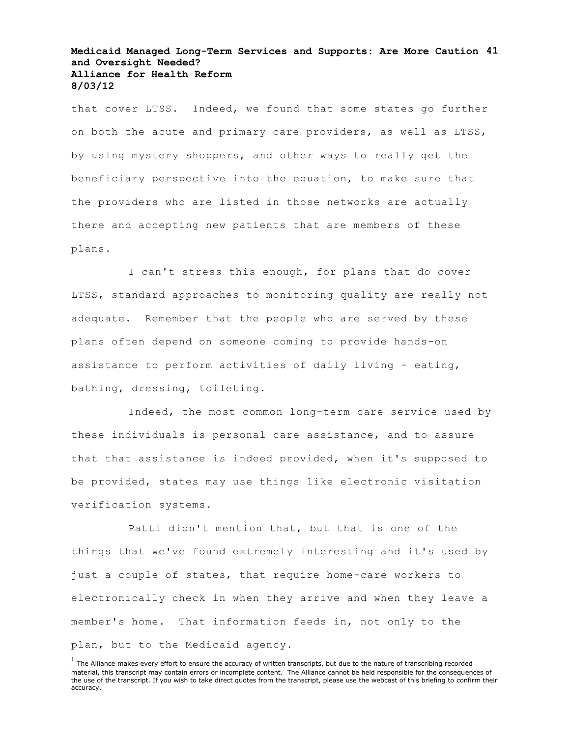#### **Medicaid Managed Long-Term Services and Supports: Are More Caution 41 and Oversight Needed? Alliance for Health Reform 8/03/12**

that cover LTSS. Indeed, we found that some states go further on both the acute and primary care providers, as well as LTSS, by using mystery shoppers, and other ways to really get the beneficiary perspective into the equation, to make sure that the providers who are listed in those networks are actually there and accepting new patients that are members of these plans.

I can't stress this enough, for plans that do cover LTSS, standard approaches to monitoring quality are really not adequate. Remember that the people who are served by these plans often depend on someone coming to provide hands-on assistance to perform activities of daily living – eating, bathing, dressing, toileting.

Indeed, the most common long-term care service used by these individuals is personal care assistance, and to assure that that assistance is indeed provided, when it's supposed to be provided, states may use things like electronic visitation verification systems.

Patti didn't mention that, but that is one of the things that we've found extremely interesting and it's used by just a couple of states, that require home-care workers to electronically check in when they arrive and when they leave a member's home. That information feeds in, not only to the plan, but to the Medicaid agency.

 $<sup>1</sup>$  The Alliance makes every effort to ensure the accuracy of written transcripts, but due to the nature of transcribing recorded</sup> material, this transcript may contain errors or incomplete content. The Alliance cannot be held responsible for the consequences of the use of the transcript. If you wish to take direct quotes from the transcript, please use the webcast of this briefing to confirm their accuracy.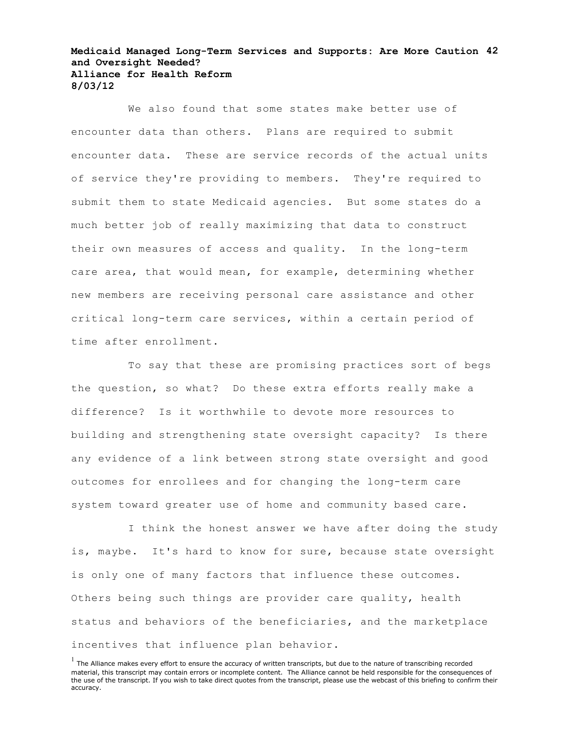#### **Medicaid Managed Long-Term Services and Supports: Are More Caution 42 and Oversight Needed? Alliance for Health Reform 8/03/12**

We also found that some states make better use of encounter data than others. Plans are required to submit encounter data. These are service records of the actual units of service they're providing to members. They're required to submit them to state Medicaid agencies. But some states do a much better job of really maximizing that data to construct their own measures of access and quality. In the long-term care area, that would mean, for example, determining whether new members are receiving personal care assistance and other critical long-term care services, within a certain period of time after enrollment.

To say that these are promising practices sort of begs the question, so what? Do these extra efforts really make a difference? Is it worthwhile to devote more resources to building and strengthening state oversight capacity? Is there any evidence of a link between strong state oversight and good outcomes for enrollees and for changing the long-term care system toward greater use of home and community based care.

I think the honest answer we have after doing the study is, maybe. It's hard to know for sure, because state oversight is only one of many factors that influence these outcomes. Others being such things are provider care quality, health status and behaviors of the beneficiaries, and the marketplace incentives that influence plan behavior.

 $<sup>1</sup>$  The Alliance makes every effort to ensure the accuracy of written transcripts, but due to the nature of transcribing recorded</sup> material, this transcript may contain errors or incomplete content. The Alliance cannot be held responsible for the consequences of the use of the transcript. If you wish to take direct quotes from the transcript, please use the webcast of this briefing to confirm their accuracy.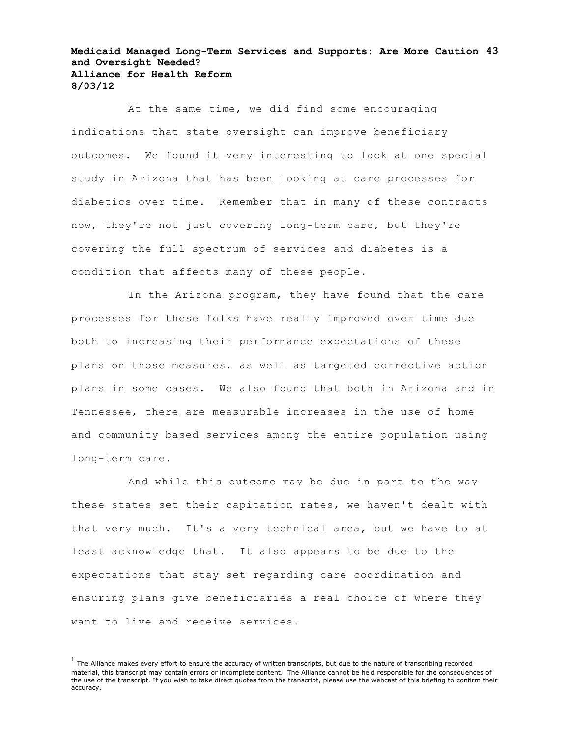#### **Medicaid Managed Long-Term Services and Supports: Are More Caution 43 and Oversight Needed? Alliance for Health Reform 8/03/12**

At the same time, we did find some encouraging indications that state oversight can improve beneficiary outcomes. We found it very interesting to look at one special study in Arizona that has been looking at care processes for diabetics over time. Remember that in many of these contracts now, they're not just covering long-term care, but they're covering the full spectrum of services and diabetes is a condition that affects many of these people.

In the Arizona program, they have found that the care processes for these folks have really improved over time due both to increasing their performance expectations of these plans on those measures, as well as targeted corrective action plans in some cases. We also found that both in Arizona and in Tennessee, there are measurable increases in the use of home and community based services among the entire population using long-term care.

And while this outcome may be due in part to the way these states set their capitation rates, we haven't dealt with that very much. It's a very technical area, but we have to at least acknowledge that. It also appears to be due to the expectations that stay set regarding care coordination and ensuring plans give beneficiaries a real choice of where they want to live and receive services.

 $<sup>1</sup>$  The Alliance makes every effort to ensure the accuracy of written transcripts, but due to the nature of transcribing recorded</sup> material, this transcript may contain errors or incomplete content. The Alliance cannot be held responsible for the consequences of the use of the transcript. If you wish to take direct quotes from the transcript, please use the webcast of this briefing to confirm their accuracy.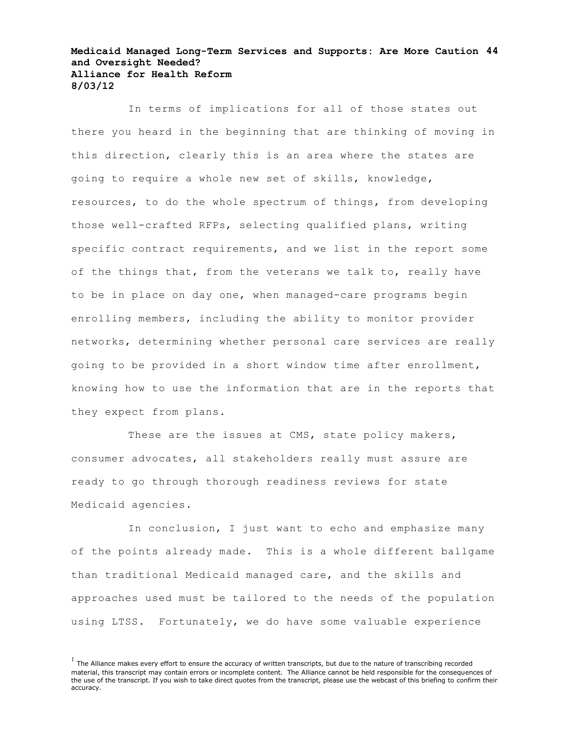#### **Medicaid Managed Long-Term Services and Supports: Are More Caution 44 and Oversight Needed? Alliance for Health Reform 8/03/12**

In terms of implications for all of those states out there you heard in the beginning that are thinking of moving in this direction, clearly this is an area where the states are going to require a whole new set of skills, knowledge, resources, to do the whole spectrum of things, from developing those well-crafted RFPs, selecting qualified plans, writing specific contract requirements, and we list in the report some of the things that, from the veterans we talk to, really have to be in place on day one, when managed-care programs begin enrolling members, including the ability to monitor provider networks, determining whether personal care services are really going to be provided in a short window time after enrollment, knowing how to use the information that are in the reports that they expect from plans.

These are the issues at CMS, state policy makers, consumer advocates, all stakeholders really must assure are ready to go through thorough readiness reviews for state Medicaid agencies.

In conclusion, I just want to echo and emphasize many of the points already made. This is a whole different ballgame than traditional Medicaid managed care, and the skills and approaches used must be tailored to the needs of the population using LTSS. Fortunately, we do have some valuable experience

 $<sup>1</sup>$  The Alliance makes every effort to ensure the accuracy of written transcripts, but due to the nature of transcribing recorded</sup> material, this transcript may contain errors or incomplete content. The Alliance cannot be held responsible for the consequences of the use of the transcript. If you wish to take direct quotes from the transcript, please use the webcast of this briefing to confirm their accuracy.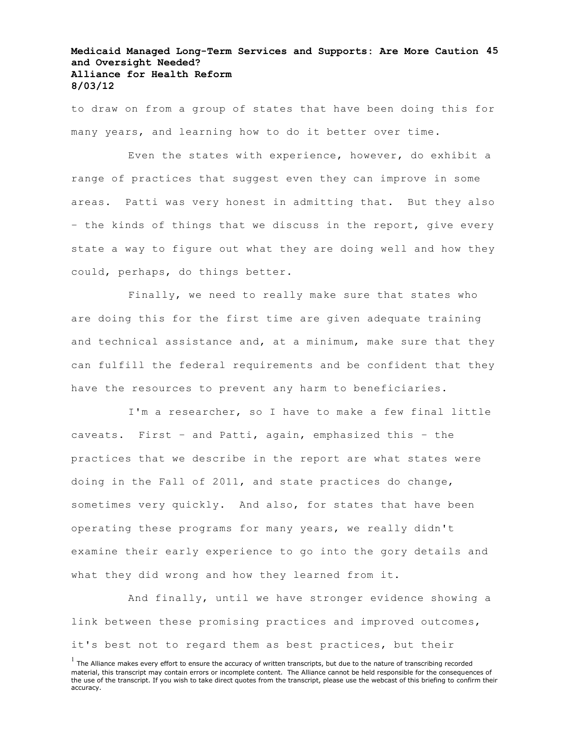# **Medicaid Managed Long-Term Services and Supports: Are More Caution 45 and Oversight Needed? Alliance for Health Reform 8/03/12**

to draw on from a group of states that have been doing this for many years, and learning how to do it better over time.

Even the states with experience, however, do exhibit a range of practices that suggest even they can improve in some areas. Patti was very honest in admitting that. But they also – the kinds of things that we discuss in the report, give every state a way to figure out what they are doing well and how they could, perhaps, do things better.

Finally, we need to really make sure that states who are doing this for the first time are given adequate training and technical assistance and, at a minimum, make sure that they can fulfill the federal requirements and be confident that they have the resources to prevent any harm to beneficiaries.

I'm a researcher, so I have to make a few final little caveats. First – and Patti, again, emphasized this – the practices that we describe in the report are what states were doing in the Fall of 2011, and state practices do change, sometimes very quickly. And also, for states that have been operating these programs for many years, we really didn't examine their early experience to go into the gory details and what they did wrong and how they learned from it.

And finally, until we have stronger evidence showing a link between these promising practices and improved outcomes, it's best not to regard them as best practices, but their

 $<sup>1</sup>$  The Alliance makes every effort to ensure the accuracy of written transcripts, but due to the nature of transcribing recorded</sup> material, this transcript may contain errors or incomplete content. The Alliance cannot be held responsible for the consequences of the use of the transcript. If you wish to take direct quotes from the transcript, please use the webcast of this briefing to confirm their accuracy.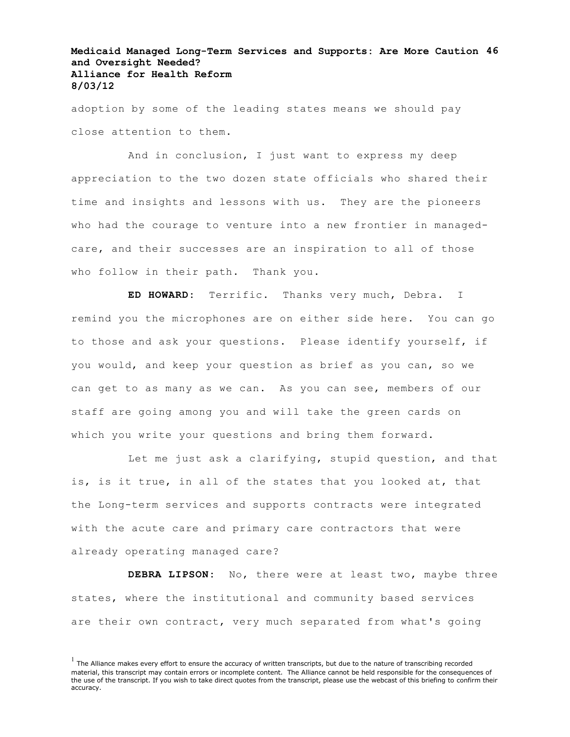# **Medicaid Managed Long-Term Services and Supports: Are More Caution 46 and Oversight Needed? Alliance for Health Reform 8/03/12**

adoption by some of the leading states means we should pay close attention to them.

And in conclusion, I just want to express my deep appreciation to the two dozen state officials who shared their time and insights and lessons with us. They are the pioneers who had the courage to venture into a new frontier in managedcare, and their successes are an inspiration to all of those who follow in their path. Thank you.

**ED HOWARD:** Terrific. Thanks very much, Debra. I remind you the microphones are on either side here. You can go to those and ask your questions. Please identify yourself, if you would, and keep your question as brief as you can, so we can get to as many as we can. As you can see, members of our staff are going among you and will take the green cards on which you write your questions and bring them forward.

Let me just ask a clarifying, stupid question, and that is, is it true, in all of the states that you looked at, that the Long-term services and supports contracts were integrated with the acute care and primary care contractors that were already operating managed care?

**DEBRA LIPSON:** No, there were at least two, maybe three states, where the institutional and community based services are their own contract, very much separated from what's going

 $<sup>1</sup>$  The Alliance makes every effort to ensure the accuracy of written transcripts, but due to the nature of transcribing recorded</sup> material, this transcript may contain errors or incomplete content. The Alliance cannot be held responsible for the consequences of the use of the transcript. If you wish to take direct quotes from the transcript, please use the webcast of this briefing to confirm their accuracy.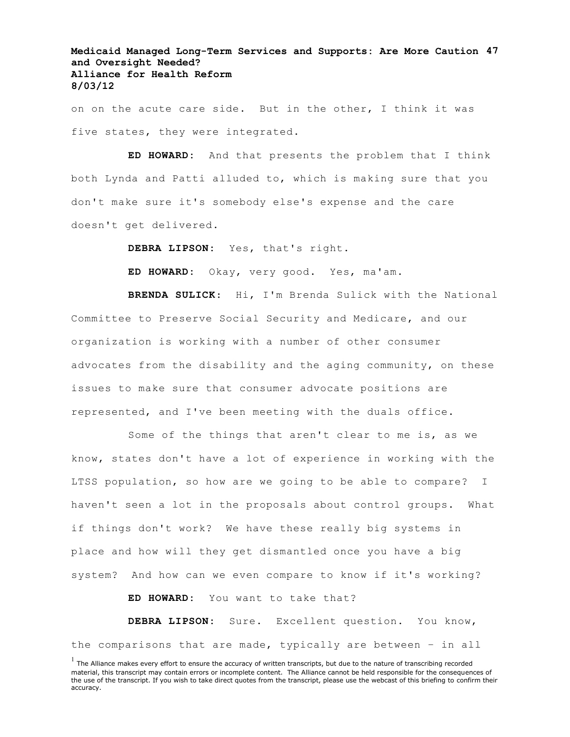# **Medicaid Managed Long-Term Services and Supports: Are More Caution 47 and Oversight Needed? Alliance for Health Reform 8/03/12**

on on the acute care side. But in the other, I think it was five states, they were integrated.

**ED HOWARD:** And that presents the problem that I think both Lynda and Patti alluded to, which is making sure that you don't make sure it's somebody else's expense and the care doesn't get delivered.

**DEBRA LIPSON:** Yes, that's right.

**ED HOWARD:** Okay, very good. Yes, ma'am.

**BRENDA SULICK**: Hi, I'm Brenda Sulick with the National Committee to Preserve Social Security and Medicare, and our organization is working with a number of other consumer advocates from the disability and the aging community, on these issues to make sure that consumer advocate positions are represented, and I've been meeting with the duals office.

Some of the things that aren't clear to me is, as we know, states don't have a lot of experience in working with the LTSS population, so how are we going to be able to compare? I haven't seen a lot in the proposals about control groups. What if things don't work? We have these really big systems in place and how will they get dismantled once you have a big system? And how can we even compare to know if it's working?

**ED HOWARD:** You want to take that?

**DEBRA LIPSON:** Sure. Excellent question. You know, the comparisons that are made, typically are between – in all

 $<sup>1</sup>$  The Alliance makes every effort to ensure the accuracy of written transcripts, but due to the nature of transcribing recorded</sup> material, this transcript may contain errors or incomplete content. The Alliance cannot be held responsible for the consequences of the use of the transcript. If you wish to take direct quotes from the transcript, please use the webcast of this briefing to confirm their accuracy.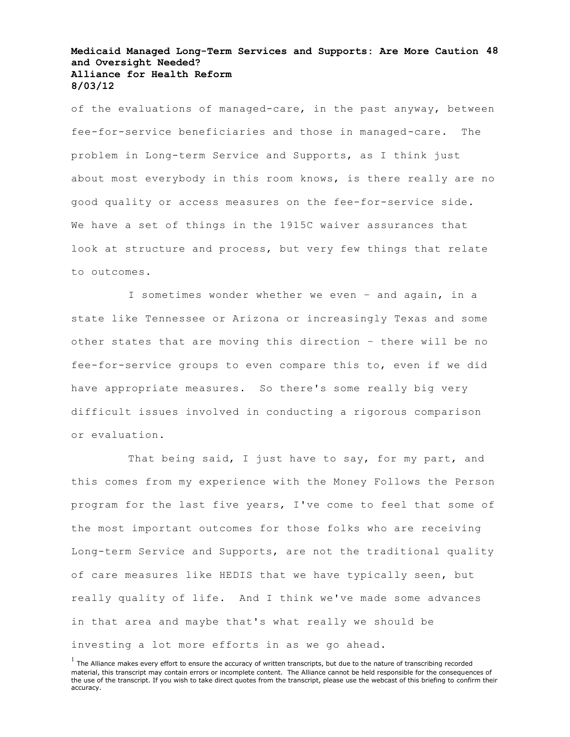#### **Medicaid Managed Long-Term Services and Supports: Are More Caution 48 and Oversight Needed? Alliance for Health Reform 8/03/12**

of the evaluations of managed-care, in the past anyway, between fee-for-service beneficiaries and those in managed-care. The problem in Long-term Service and Supports, as I think just about most everybody in this room knows, is there really are no good quality or access measures on the fee-for-service side. We have a set of things in the 1915C waiver assurances that look at structure and process, but very few things that relate to outcomes.

I sometimes wonder whether we even – and again, in a state like Tennessee or Arizona or increasingly Texas and some other states that are moving this direction – there will be no fee-for-service groups to even compare this to, even if we did have appropriate measures. So there's some really big very difficult issues involved in conducting a rigorous comparison or evaluation.

That being said, I just have to say, for my part, and this comes from my experience with the Money Follows the Person program for the last five years, I've come to feel that some of the most important outcomes for those folks who are receiving Long-term Service and Supports, are not the traditional quality of care measures like HEDIS that we have typically seen, but really quality of life. And I think we've made some advances in that area and maybe that's what really we should be investing a lot more efforts in as we go ahead.

 $<sup>1</sup>$  The Alliance makes every effort to ensure the accuracy of written transcripts, but due to the nature of transcribing recorded</sup> material, this transcript may contain errors or incomplete content. The Alliance cannot be held responsible for the consequences of the use of the transcript. If you wish to take direct quotes from the transcript, please use the webcast of this briefing to confirm their accuracy.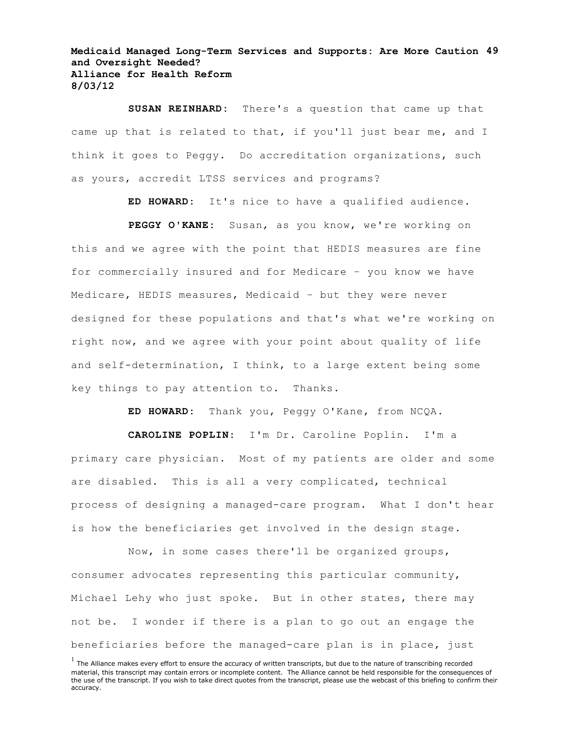**Medicaid Managed Long-Term Services and Supports: Are More Caution 49 and Oversight Needed? Alliance for Health Reform 8/03/12**

**SUSAN REINHARD:** There's a question that came up that came up that is related to that, if you'll just bear me, and I think it goes to Peggy. Do accreditation organizations, such as yours, accredit LTSS services and programs?

**ED HOWARD:** It's nice to have a qualified audience.

**PEGGY O'KANE:** Susan, as you know, we're working on this and we agree with the point that HEDIS measures are fine for commercially insured and for Medicare – you know we have Medicare, HEDIS measures, Medicaid – but they were never designed for these populations and that's what we're working on right now, and we agree with your point about quality of life and self-determination, I think, to a large extent being some key things to pay attention to. Thanks.

**ED HOWARD:** Thank you, Peggy O'Kane, from NCQA.

**CAROLINE POPLIN:** I'm Dr. Caroline Poplin. I'm a primary care physician. Most of my patients are older and some are disabled. This is all a very complicated, technical process of designing a managed-care program. What I don't hear is how the beneficiaries get involved in the design stage.

Now, in some cases there'll be organized groups, consumer advocates representing this particular community, Michael Lehy who just spoke. But in other states, there may not be. I wonder if there is a plan to go out an engage the beneficiaries before the managed-care plan is in place, just

 $<sup>1</sup>$  The Alliance makes every effort to ensure the accuracy of written transcripts, but due to the nature of transcribing recorded</sup> material, this transcript may contain errors or incomplete content. The Alliance cannot be held responsible for the consequences of the use of the transcript. If you wish to take direct quotes from the transcript, please use the webcast of this briefing to confirm their accuracy.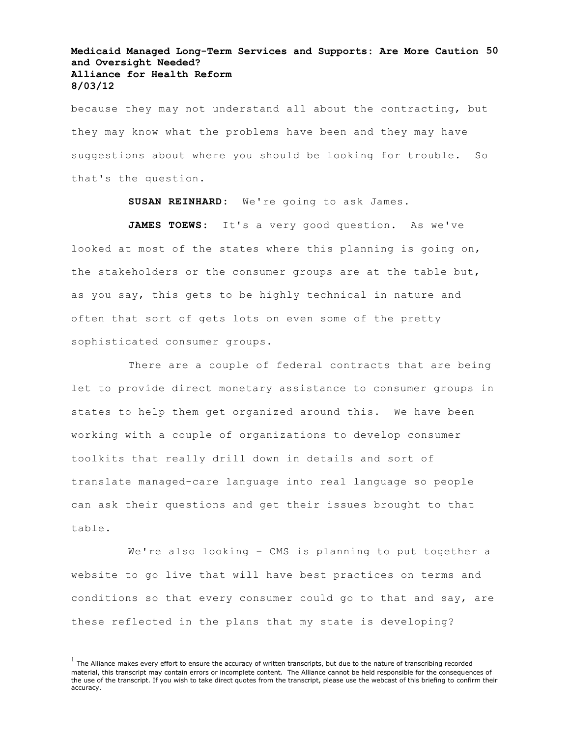#### **Medicaid Managed Long-Term Services and Supports: Are More Caution 50 and Oversight Needed? Alliance for Health Reform 8/03/12**

because they may not understand all about the contracting, but they may know what the problems have been and they may have suggestions about where you should be looking for trouble. So that's the question.

**SUSAN REINHARD:** We're going to ask James.

**JAMES TOEWS:** It's a very good question. As we've looked at most of the states where this planning is going on, the stakeholders or the consumer groups are at the table but, as you say, this gets to be highly technical in nature and often that sort of gets lots on even some of the pretty sophisticated consumer groups.

There are a couple of federal contracts that are being let to provide direct monetary assistance to consumer groups in states to help them get organized around this. We have been working with a couple of organizations to develop consumer toolkits that really drill down in details and sort of translate managed-care language into real language so people can ask their questions and get their issues brought to that table.

We're also looking - CMS is planning to put together a website to go live that will have best practices on terms and conditions so that every consumer could go to that and say, are these reflected in the plans that my state is developing?

 $<sup>1</sup>$  The Alliance makes every effort to ensure the accuracy of written transcripts, but due to the nature of transcribing recorded</sup> material, this transcript may contain errors or incomplete content. The Alliance cannot be held responsible for the consequences of the use of the transcript. If you wish to take direct quotes from the transcript, please use the webcast of this briefing to confirm their accuracy.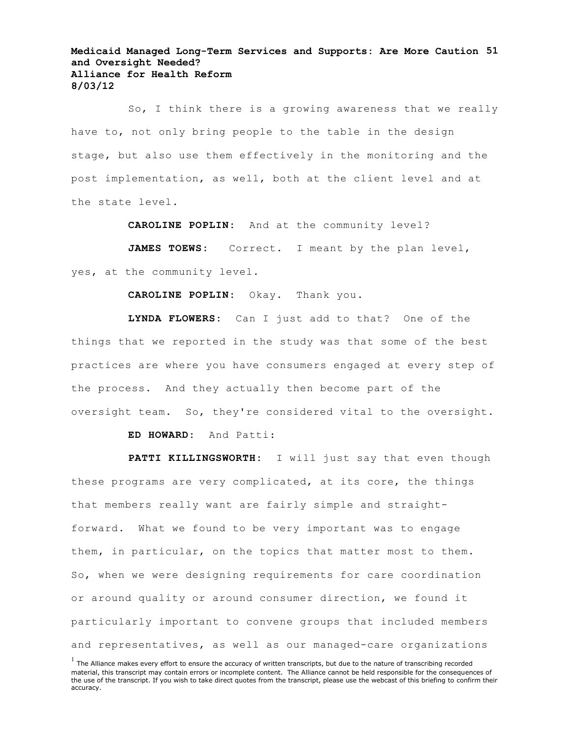**Medicaid Managed Long-Term Services and Supports: Are More Caution 51 and Oversight Needed? Alliance for Health Reform 8/03/12**

So, I think there is a growing awareness that we really have to, not only bring people to the table in the design stage, but also use them effectively in the monitoring and the post implementation, as well, both at the client level and at the state level.

**CAROLINE POPLIN:** And at the community level?

JAMES TOEWS: Correct. I meant by the plan level, yes, at the community level.

**CAROLINE POPLIN:** Okay. Thank you.

**LYNDA FLOWERS:** Can I just add to that? One of the things that we reported in the study was that some of the best practices are where you have consumers engaged at every step of the process. And they actually then become part of the oversight team. So, they're considered vital to the oversight.

**ED HOWARD:** And Patti:

PATTI KILLINGSWORTH: I will just say that even though these programs are very complicated, at its core, the things that members really want are fairly simple and straightforward. What we found to be very important was to engage them, in particular, on the topics that matter most to them. So, when we were designing requirements for care coordination or around quality or around consumer direction, we found it particularly important to convene groups that included members and representatives, as well as our managed-care organizations

 $<sup>1</sup>$  The Alliance makes every effort to ensure the accuracy of written transcripts, but due to the nature of transcribing recorded</sup> material, this transcript may contain errors or incomplete content. The Alliance cannot be held responsible for the consequences of the use of the transcript. If you wish to take direct quotes from the transcript, please use the webcast of this briefing to confirm their accuracy.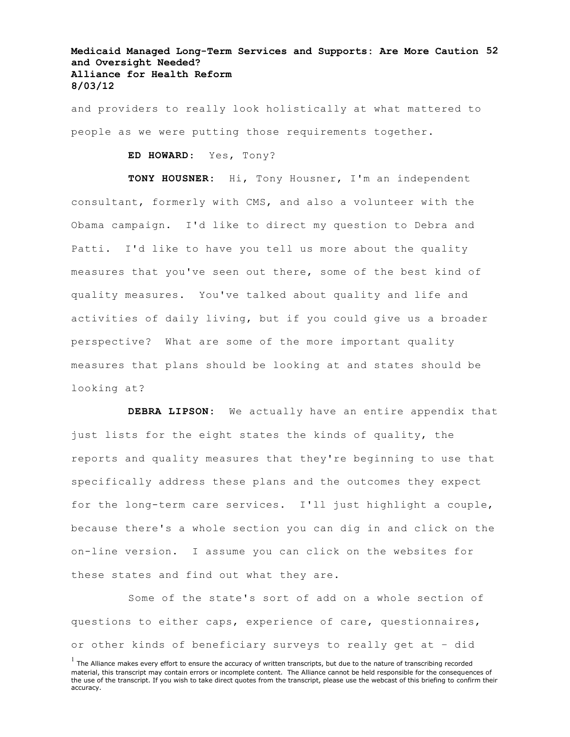# **Medicaid Managed Long-Term Services and Supports: Are More Caution 52 and Oversight Needed? Alliance for Health Reform 8/03/12**

and providers to really look holistically at what mattered to people as we were putting those requirements together.

**ED HOWARD**: Yes, Tony?

**TONY HOUSNER:** Hi, Tony Housner, I'm an independent consultant, formerly with CMS, and also a volunteer with the Obama campaign. I'd like to direct my question to Debra and Patti. I'd like to have you tell us more about the quality measures that you've seen out there, some of the best kind of quality measures. You've talked about quality and life and activities of daily living, but if you could give us a broader perspective? What are some of the more important quality measures that plans should be looking at and states should be looking at?

**DEBRA LIPSON:** We actually have an entire appendix that just lists for the eight states the kinds of quality, the reports and quality measures that they're beginning to use that specifically address these plans and the outcomes they expect for the long-term care services. I'll just highlight a couple, because there's a whole section you can dig in and click on the on-line version. I assume you can click on the websites for these states and find out what they are.

Some of the state's sort of add on a whole section of questions to either caps, experience of care, questionnaires, or other kinds of beneficiary surveys to really get at – did

 $<sup>1</sup>$  The Alliance makes every effort to ensure the accuracy of written transcripts, but due to the nature of transcribing recorded</sup> material, this transcript may contain errors or incomplete content. The Alliance cannot be held responsible for the consequences of the use of the transcript. If you wish to take direct quotes from the transcript, please use the webcast of this briefing to confirm their accuracy.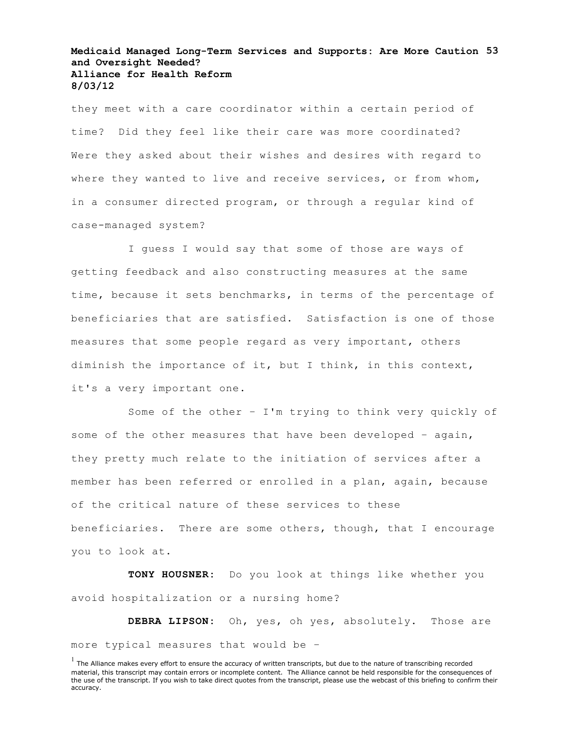#### **Medicaid Managed Long-Term Services and Supports: Are More Caution 53 and Oversight Needed? Alliance for Health Reform 8/03/12**

they meet with a care coordinator within a certain period of time? Did they feel like their care was more coordinated? Were they asked about their wishes and desires with regard to where they wanted to live and receive services, or from whom, in a consumer directed program, or through a regular kind of case-managed system?

I guess I would say that some of those are ways of getting feedback and also constructing measures at the same time, because it sets benchmarks, in terms of the percentage of beneficiaries that are satisfied. Satisfaction is one of those measures that some people regard as very important, others diminish the importance of it, but I think, in this context, it's a very important one.

Some of the other – I'm trying to think very quickly of some of the other measures that have been developed - again, they pretty much relate to the initiation of services after a member has been referred or enrolled in a plan, again, because of the critical nature of these services to these beneficiaries. There are some others, though, that I encourage you to look at.

**TONY HOUSNER:** Do you look at things like whether you avoid hospitalization or a nursing home?

**DEBRA LIPSON:** Oh, yes, oh yes, absolutely. Those are more typical measures that would be –

 $<sup>1</sup>$  The Alliance makes every effort to ensure the accuracy of written transcripts, but due to the nature of transcribing recorded</sup> material, this transcript may contain errors or incomplete content. The Alliance cannot be held responsible for the consequences of the use of the transcript. If you wish to take direct quotes from the transcript, please use the webcast of this briefing to confirm their accuracy.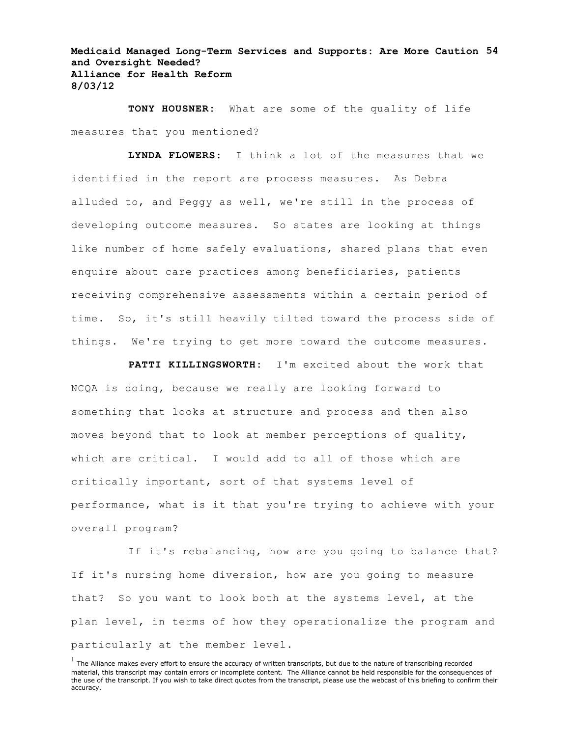# **Medicaid Managed Long-Term Services and Supports: Are More Caution 54 and Oversight Needed? Alliance for Health Reform 8/03/12**

**TONY HOUSNER:** What are some of the quality of life measures that you mentioned?

**LYNDA FLOWERS:** I think a lot of the measures that we identified in the report are process measures. As Debra alluded to, and Peggy as well, we're still in the process of developing outcome measures. So states are looking at things like number of home safely evaluations, shared plans that even enquire about care practices among beneficiaries, patients receiving comprehensive assessments within a certain period of time. So, it's still heavily tilted toward the process side of things. We're trying to get more toward the outcome measures.

**PATTI KILLINGSWORTH:** I'm excited about the work that NCQA is doing, because we really are looking forward to something that looks at structure and process and then also moves beyond that to look at member perceptions of quality, which are critical. I would add to all of those which are critically important, sort of that systems level of performance, what is it that you're trying to achieve with your overall program?

If it's rebalancing, how are you going to balance that? If it's nursing home diversion, how are you going to measure that? So you want to look both at the systems level, at the plan level, in terms of how they operationalize the program and particularly at the member level.

 $<sup>1</sup>$  The Alliance makes every effort to ensure the accuracy of written transcripts, but due to the nature of transcribing recorded</sup> material, this transcript may contain errors or incomplete content. The Alliance cannot be held responsible for the consequences of the use of the transcript. If you wish to take direct quotes from the transcript, please use the webcast of this briefing to confirm their accuracy.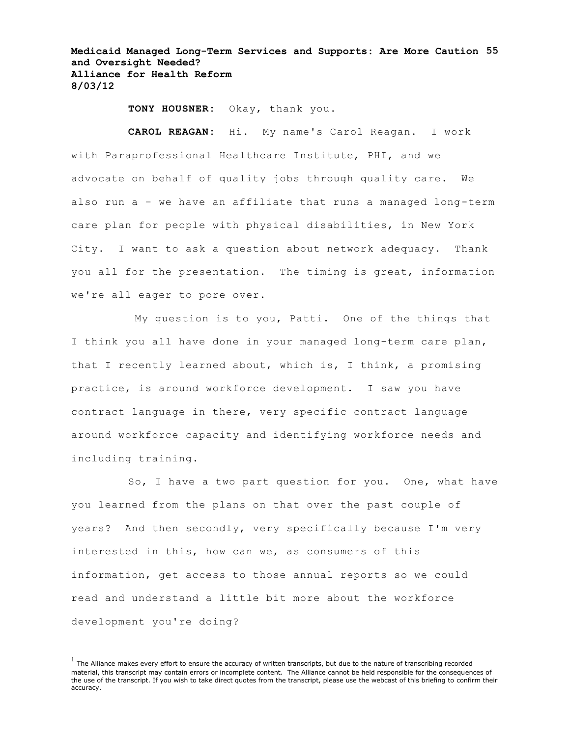**Medicaid Managed Long-Term Services and Supports: Are More Caution 55 and Oversight Needed? Alliance for Health Reform 8/03/12**

**TONY HOUSNER:** Okay, thank you.

**CAROL REAGAN:** Hi. My name's Carol Reagan. I work with Paraprofessional Healthcare Institute, PHI, and we advocate on behalf of quality jobs through quality care. We also run a – we have an affiliate that runs a managed long-term care plan for people with physical disabilities, in New York City. I want to ask a question about network adequacy. Thank you all for the presentation. The timing is great, information we're all eager to pore over.

My question is to you, Patti. One of the things that I think you all have done in your managed long-term care plan, that I recently learned about, which is, I think, a promising practice, is around workforce development. I saw you have contract language in there, very specific contract language around workforce capacity and identifying workforce needs and including training.

So, I have a two part question for you. One, what have you learned from the plans on that over the past couple of years? And then secondly, very specifically because I'm very interested in this, how can we, as consumers of this information, get access to those annual reports so we could read and understand a little bit more about the workforce development you're doing?

 $<sup>1</sup>$  The Alliance makes every effort to ensure the accuracy of written transcripts, but due to the nature of transcribing recorded</sup> material, this transcript may contain errors or incomplete content. The Alliance cannot be held responsible for the consequences of the use of the transcript. If you wish to take direct quotes from the transcript, please use the webcast of this briefing to confirm their accuracy.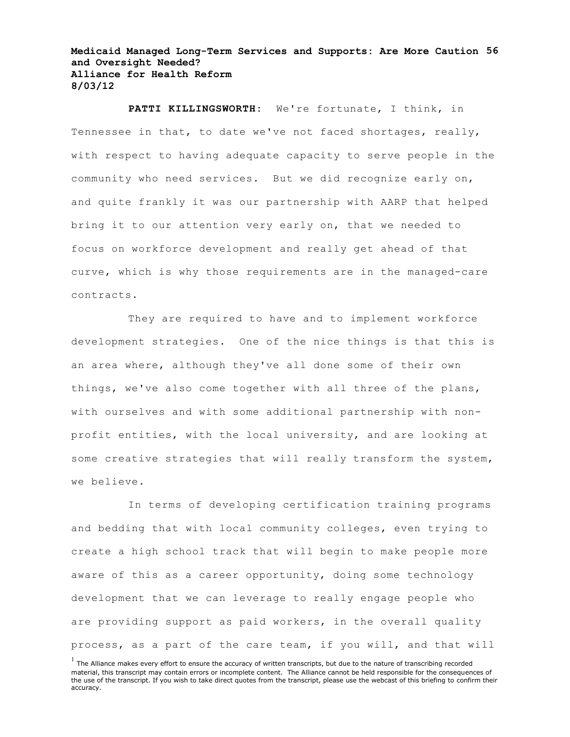**Medicaid Managed Long-Term Services and Supports: Are More Caution 56 and Oversight Needed? Alliance for Health Reform 8/03/12**

**PATTI KILLINGSWORTH:** We're fortunate, I think, in Tennessee in that, to date we've not faced shortages, really, with respect to having adequate capacity to serve people in the community who need services. But we did recognize early on, and quite frankly it was our partnership with AARP that helped bring it to our attention very early on, that we needed to focus on workforce development and really get ahead of that curve, which is why those requirements are in the managed-care contracts.

They are required to have and to implement workforce development strategies. One of the nice things is that this is an area where, although they've all done some of their own things, we've also come together with all three of the plans, with ourselves and with some additional partnership with nonprofit entities, with the local university, and are looking at some creative strategies that will really transform the system, we believe.

In terms of developing certification training programs and bedding that with local community colleges, even trying to create a high school track that will begin to make people more aware of this as a career opportunity, doing some technology development that we can leverage to really engage people who are providing support as paid workers, in the overall quality process, as a part of the care team, if you will, and that will

 $<sup>1</sup>$  The Alliance makes every effort to ensure the accuracy of written transcripts, but due to the nature of transcribing recorded</sup> material, this transcript may contain errors or incomplete content. The Alliance cannot be held responsible for the consequences of the use of the transcript. If you wish to take direct quotes from the transcript, please use the webcast of this briefing to confirm their accuracy.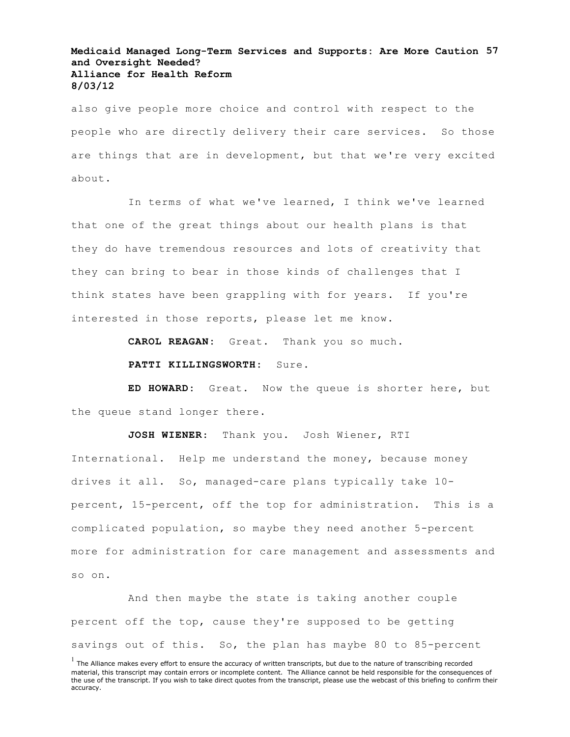# **Medicaid Managed Long-Term Services and Supports: Are More Caution 57 and Oversight Needed? Alliance for Health Reform 8/03/12**

also give people more choice and control with respect to the people who are directly delivery their care services. So those are things that are in development, but that we're very excited about.

In terms of what we've learned, I think we've learned that one of the great things about our health plans is that they do have tremendous resources and lots of creativity that they can bring to bear in those kinds of challenges that I think states have been grappling with for years. If you're interested in those reports, please let me know.

**CAROL REAGAN:** Great. Thank you so much.

PATTI KILLINGSWORTH: Sure.

**ED HOWARD:** Great. Now the queue is shorter here, but the queue stand longer there.

**JOSH WIENER**: Thank you. Josh Wiener, RTI International. Help me understand the money, because money drives it all. So, managed-care plans typically take 10 percent, 15-percent, off the top for administration. This is a complicated population, so maybe they need another 5-percent more for administration for care management and assessments and so on.

And then maybe the state is taking another couple percent off the top, cause they're supposed to be getting savings out of this. So, the plan has maybe 80 to 85-percent

 $<sup>1</sup>$  The Alliance makes every effort to ensure the accuracy of written transcripts, but due to the nature of transcribing recorded</sup> material, this transcript may contain errors or incomplete content. The Alliance cannot be held responsible for the consequences of the use of the transcript. If you wish to take direct quotes from the transcript, please use the webcast of this briefing to confirm their accuracy.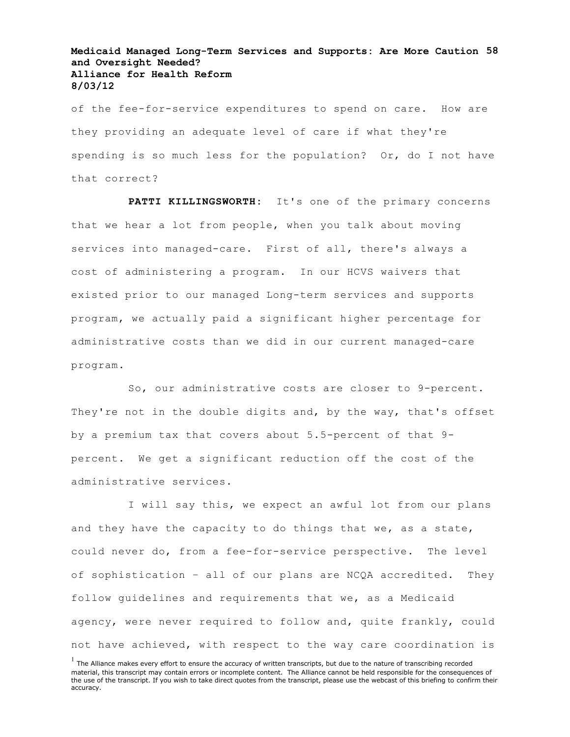#### **Medicaid Managed Long-Term Services and Supports: Are More Caution 58 and Oversight Needed? Alliance for Health Reform 8/03/12**

of the fee-for-service expenditures to spend on care. How are they providing an adequate level of care if what they're spending is so much less for the population? Or, do I not have that correct?

**PATTI KILLINGSWORTH:** It's one of the primary concerns that we hear a lot from people, when you talk about moving services into managed-care. First of all, there's always a cost of administering a program. In our HCVS waivers that existed prior to our managed Long-term services and supports program, we actually paid a significant higher percentage for administrative costs than we did in our current managed-care program.

So, our administrative costs are closer to 9-percent. They're not in the double digits and, by the way, that's offset by a premium tax that covers about 5.5-percent of that 9 percent. We get a significant reduction off the cost of the administrative services.

I will say this, we expect an awful lot from our plans and they have the capacity to do things that we, as a state, could never do, from a fee-for-service perspective. The level of sophistication – all of our plans are NCQA accredited. They follow guidelines and requirements that we, as a Medicaid agency, were never required to follow and, quite frankly, could not have achieved, with respect to the way care coordination is

 $<sup>1</sup>$  The Alliance makes every effort to ensure the accuracy of written transcripts, but due to the nature of transcribing recorded</sup> material, this transcript may contain errors or incomplete content. The Alliance cannot be held responsible for the consequences of the use of the transcript. If you wish to take direct quotes from the transcript, please use the webcast of this briefing to confirm their accuracy.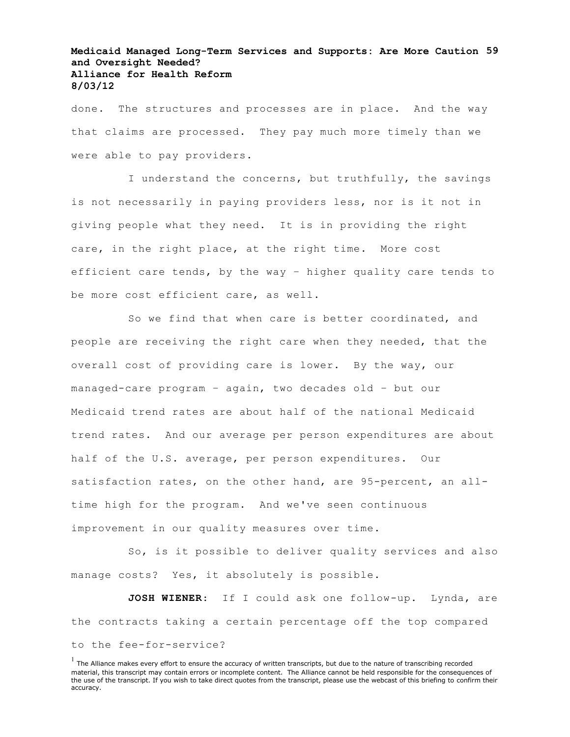# **Medicaid Managed Long-Term Services and Supports: Are More Caution 59 and Oversight Needed? Alliance for Health Reform 8/03/12**

done. The structures and processes are in place. And the way that claims are processed. They pay much more timely than we were able to pay providers.

I understand the concerns, but truthfully, the savings is not necessarily in paying providers less, nor is it not in giving people what they need. It is in providing the right care, in the right place, at the right time. More cost efficient care tends, by the way – higher quality care tends to be more cost efficient care, as well.

So we find that when care is better coordinated, and people are receiving the right care when they needed, that the overall cost of providing care is lower. By the way, our managed-care program – again, two decades old – but our Medicaid trend rates are about half of the national Medicaid trend rates. And our average per person expenditures are about half of the U.S. average, per person expenditures. Our satisfaction rates, on the other hand, are 95-percent, an alltime high for the program. And we've seen continuous improvement in our quality measures over time.

So, is it possible to deliver quality services and also manage costs? Yes, it absolutely is possible.

**JOSH WIENER**: If I could ask one follow-up. Lynda, are the contracts taking a certain percentage off the top compared to the fee-for-service?

 $<sup>1</sup>$  The Alliance makes every effort to ensure the accuracy of written transcripts, but due to the nature of transcribing recorded</sup> material, this transcript may contain errors or incomplete content. The Alliance cannot be held responsible for the consequences of the use of the transcript. If you wish to take direct quotes from the transcript, please use the webcast of this briefing to confirm their accuracy.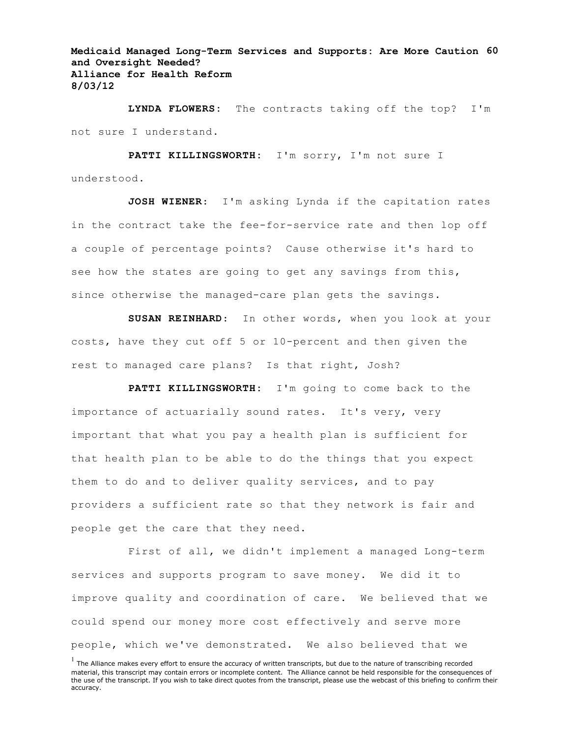**Medicaid Managed Long-Term Services and Supports: Are More Caution 60 and Oversight Needed? Alliance for Health Reform 8/03/12**

**LYNDA FLOWERS:** The contracts taking off the top? I'm not sure I understand.

**PATTI KILLINGSWORTH:** I'm sorry, I'm not sure I understood.

**JOSH WIENER**: I'm asking Lynda if the capitation rates in the contract take the fee-for-service rate and then lop off a couple of percentage points? Cause otherwise it's hard to see how the states are going to get any savings from this, since otherwise the managed-care plan gets the savings.

**SUSAN REINHARD**: In other words, when you look at your costs, have they cut off 5 or 10-percent and then given the rest to managed care plans? Is that right, Josh?

**PATTI KILLINGSWORTH:** I'm going to come back to the importance of actuarially sound rates. It's very, very important that what you pay a health plan is sufficient for that health plan to be able to do the things that you expect them to do and to deliver quality services, and to pay providers a sufficient rate so that they network is fair and people get the care that they need.

First of all, we didn't implement a managed Long-term services and supports program to save money. We did it to improve quality and coordination of care. We believed that we could spend our money more cost effectively and serve more people, which we've demonstrated. We also believed that we

 $<sup>1</sup>$  The Alliance makes every effort to ensure the accuracy of written transcripts, but due to the nature of transcribing recorded</sup> material, this transcript may contain errors or incomplete content. The Alliance cannot be held responsible for the consequences of the use of the transcript. If you wish to take direct quotes from the transcript, please use the webcast of this briefing to confirm their accuracy.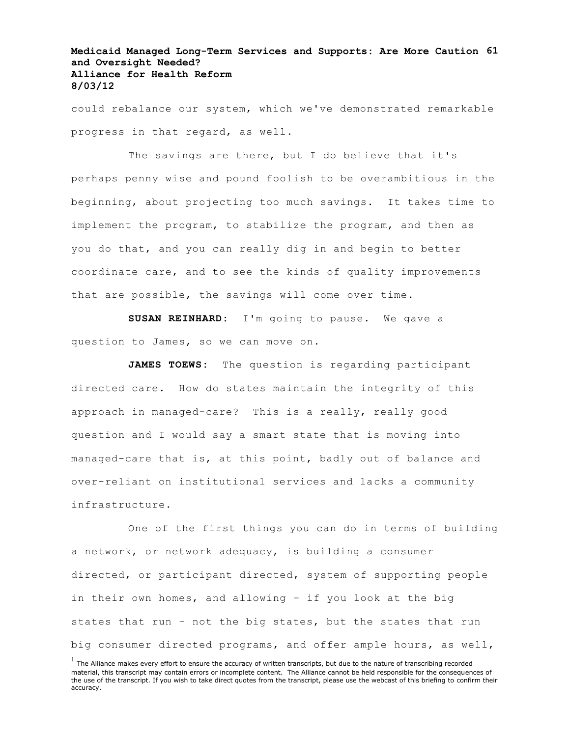# **Medicaid Managed Long-Term Services and Supports: Are More Caution 61 and Oversight Needed? Alliance for Health Reform 8/03/12**

could rebalance our system, which we've demonstrated remarkable progress in that regard, as well.

The savings are there, but I do believe that it's perhaps penny wise and pound foolish to be overambitious in the beginning, about projecting too much savings. It takes time to implement the program, to stabilize the program, and then as you do that, and you can really dig in and begin to better coordinate care, and to see the kinds of quality improvements that are possible, the savings will come over time.

**SUSAN REINHARD:** I'm going to pause. We gave a question to James, so we can move on.

**JAMES TOEWS:** The question is regarding participant directed care. How do states maintain the integrity of this approach in managed-care? This is a really, really good question and I would say a smart state that is moving into managed-care that is, at this point, badly out of balance and over-reliant on institutional services and lacks a community infrastructure.

One of the first things you can do in terms of building a network, or network adequacy, is building a consumer directed, or participant directed, system of supporting people in their own homes, and allowing – if you look at the big states that run – not the big states, but the states that run big consumer directed programs, and offer ample hours, as well,

 $<sup>1</sup>$  The Alliance makes every effort to ensure the accuracy of written transcripts, but due to the nature of transcribing recorded</sup> material, this transcript may contain errors or incomplete content. The Alliance cannot be held responsible for the consequences of the use of the transcript. If you wish to take direct quotes from the transcript, please use the webcast of this briefing to confirm their accuracy.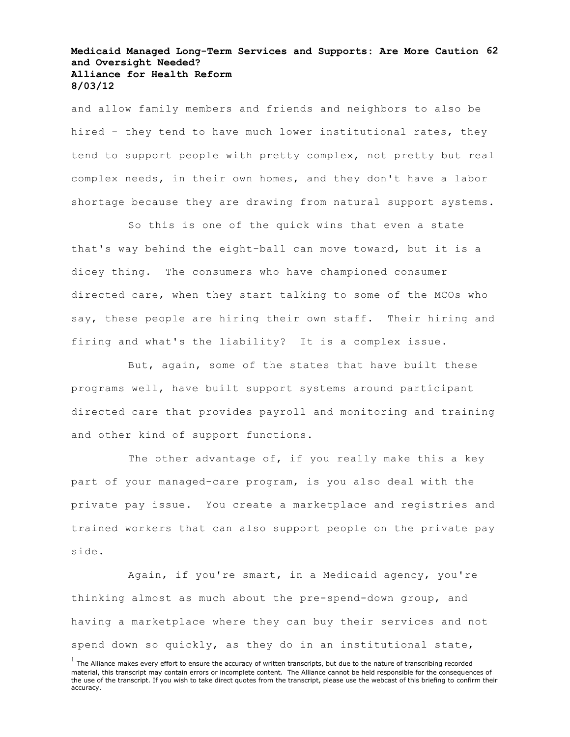# **Medicaid Managed Long-Term Services and Supports: Are More Caution 62 and Oversight Needed? Alliance for Health Reform 8/03/12**

and allow family members and friends and neighbors to also be hired – they tend to have much lower institutional rates, they tend to support people with pretty complex, not pretty but real complex needs, in their own homes, and they don't have a labor shortage because they are drawing from natural support systems.

So this is one of the quick wins that even a state that's way behind the eight-ball can move toward, but it is a dicey thing. The consumers who have championed consumer directed care, when they start talking to some of the MCOs who say, these people are hiring their own staff. Their hiring and firing and what's the liability? It is a complex issue.

But, again, some of the states that have built these programs well, have built support systems around participant directed care that provides payroll and monitoring and training and other kind of support functions.

The other advantage of, if you really make this a key part of your managed-care program, is you also deal with the private pay issue. You create a marketplace and registries and trained workers that can also support people on the private pay side.

Again, if you're smart, in a Medicaid agency, you're thinking almost as much about the pre-spend-down group, and having a marketplace where they can buy their services and not spend down so quickly, as they do in an institutional state,

 $<sup>1</sup>$  The Alliance makes every effort to ensure the accuracy of written transcripts, but due to the nature of transcribing recorded</sup> material, this transcript may contain errors or incomplete content. The Alliance cannot be held responsible for the consequences of the use of the transcript. If you wish to take direct quotes from the transcript, please use the webcast of this briefing to confirm their accuracy.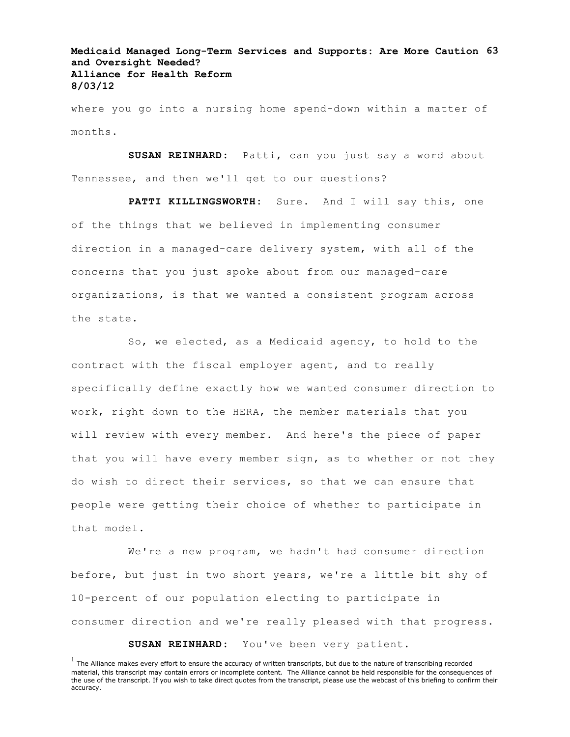**Medicaid Managed Long-Term Services and Supports: Are More Caution 63 and Oversight Needed? Alliance for Health Reform 8/03/12**

where you go into a nursing home spend-down within a matter of months.

**SUSAN REINHARD:** Patti, can you just say a word about Tennessee, and then we'll get to our questions?

PATTI KILLINGSWORTH: Sure. And I will say this, one of the things that we believed in implementing consumer direction in a managed-care delivery system, with all of the concerns that you just spoke about from our managed-care organizations, is that we wanted a consistent program across the state.

So, we elected, as a Medicaid agency, to hold to the contract with the fiscal employer agent, and to really specifically define exactly how we wanted consumer direction to work, right down to the HERA, the member materials that you will review with every member. And here's the piece of paper that you will have every member sign, as to whether or not they do wish to direct their services, so that we can ensure that people were getting their choice of whether to participate in that model.

We're a new program, we hadn't had consumer direction before, but just in two short years, we're a little bit shy of 10-percent of our population electing to participate in consumer direction and we're really pleased with that progress.

**SUSAN REINHARD:** You've been very patient.

 $<sup>1</sup>$  The Alliance makes every effort to ensure the accuracy of written transcripts, but due to the nature of transcribing recorded</sup> material, this transcript may contain errors or incomplete content. The Alliance cannot be held responsible for the consequences of the use of the transcript. If you wish to take direct quotes from the transcript, please use the webcast of this briefing to confirm their accuracy.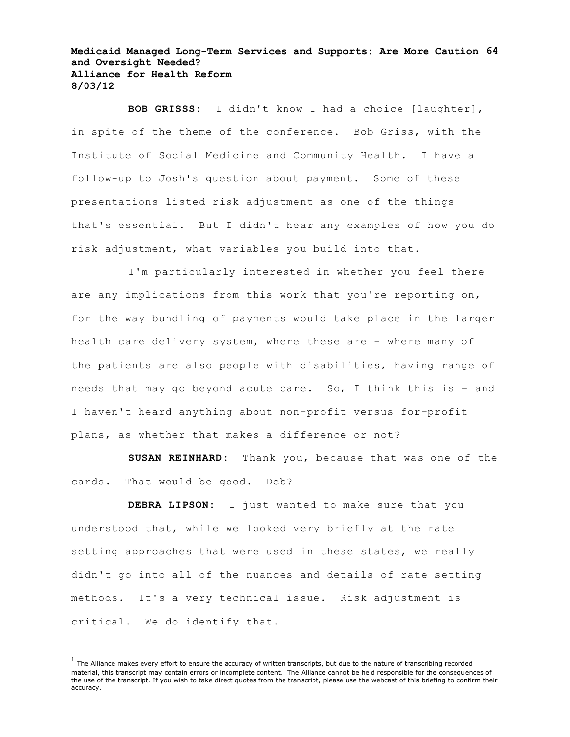#### **Medicaid Managed Long-Term Services and Supports: Are More Caution 64 and Oversight Needed? Alliance for Health Reform 8/03/12**

**BOB GRISSS:** I didn't know I had a choice [laughter], in spite of the theme of the conference. Bob Griss, with the Institute of Social Medicine and Community Health. I have a follow-up to Josh's question about payment. Some of these presentations listed risk adjustment as one of the things that's essential. But I didn't hear any examples of how you do risk adjustment, what variables you build into that.

I'm particularly interested in whether you feel there are any implications from this work that you're reporting on, for the way bundling of payments would take place in the larger health care delivery system, where these are – where many of the patients are also people with disabilities, having range of needs that may go beyond acute care. So, I think this is – and I haven't heard anything about non-profit versus for-profit plans, as whether that makes a difference or not?

**SUSAN REINHARD:** Thank you, because that was one of the cards. That would be good. Deb?

**DEBRA LIPSON:** I just wanted to make sure that you understood that, while we looked very briefly at the rate setting approaches that were used in these states, we really didn't go into all of the nuances and details of rate setting methods. It's a very technical issue. Risk adjustment is critical. We do identify that.

 $<sup>1</sup>$  The Alliance makes every effort to ensure the accuracy of written transcripts, but due to the nature of transcribing recorded</sup> material, this transcript may contain errors or incomplete content. The Alliance cannot be held responsible for the consequences of the use of the transcript. If you wish to take direct quotes from the transcript, please use the webcast of this briefing to confirm their accuracy.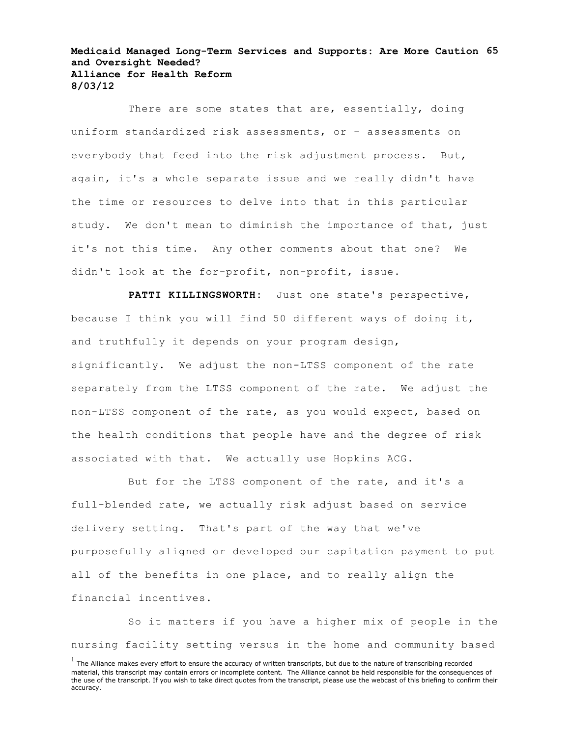#### **Medicaid Managed Long-Term Services and Supports: Are More Caution 65 and Oversight Needed? Alliance for Health Reform 8/03/12**

There are some states that are, essentially, doing uniform standardized risk assessments, or – assessments on everybody that feed into the risk adjustment process. But, again, it's a whole separate issue and we really didn't have the time or resources to delve into that in this particular study. We don't mean to diminish the importance of that, just it's not this time. Any other comments about that one? We didn't look at the for-profit, non-profit, issue.

**PATTI KILLINGSWORTH:** Just one state's perspective, because I think you will find 50 different ways of doing it, and truthfully it depends on your program design, significantly. We adjust the non-LTSS component of the rate separately from the LTSS component of the rate. We adjust the non-LTSS component of the rate, as you would expect, based on the health conditions that people have and the degree of risk associated with that. We actually use Hopkins ACG.

But for the LTSS component of the rate, and it's a full-blended rate, we actually risk adjust based on service delivery setting. That's part of the way that we've purposefully aligned or developed our capitation payment to put all of the benefits in one place, and to really align the financial incentives.

So it matters if you have a higher mix of people in the nursing facility setting versus in the home and community based

 $<sup>1</sup>$  The Alliance makes every effort to ensure the accuracy of written transcripts, but due to the nature of transcribing recorded</sup> material, this transcript may contain errors or incomplete content. The Alliance cannot be held responsible for the consequences of the use of the transcript. If you wish to take direct quotes from the transcript, please use the webcast of this briefing to confirm their accuracy.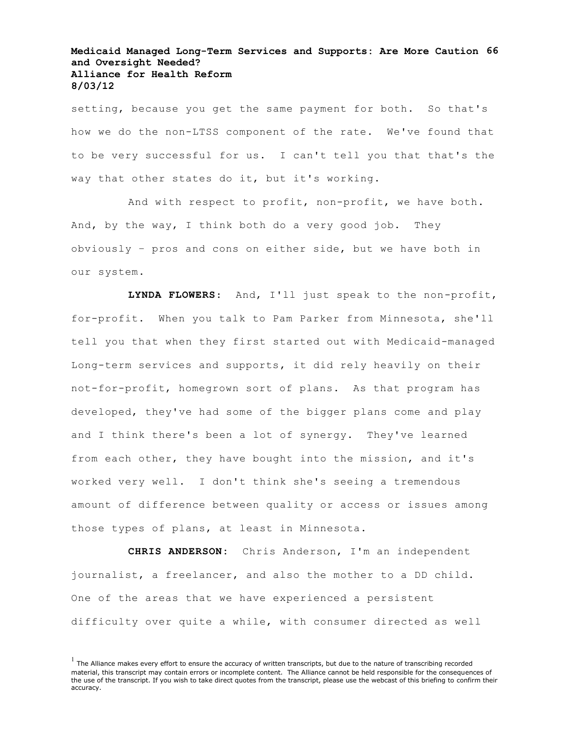# **Medicaid Managed Long-Term Services and Supports: Are More Caution 66 and Oversight Needed? Alliance for Health Reform 8/03/12**

setting, because you get the same payment for both. So that's how we do the non-LTSS component of the rate. We've found that to be very successful for us. I can't tell you that that's the way that other states do it, but it's working.

And with respect to profit, non-profit, we have both. And, by the way, I think both do a very good job. They obviously – pros and cons on either side, but we have both in our system.

**LYNDA FLOWERS**: And, I'll just speak to the non-profit, for-profit. When you talk to Pam Parker from Minnesota, she'll tell you that when they first started out with Medicaid-managed Long-term services and supports, it did rely heavily on their not-for-profit, homegrown sort of plans. As that program has developed, they've had some of the bigger plans come and play and I think there's been a lot of synergy. They've learned from each other, they have bought into the mission, and it's worked very well. I don't think she's seeing a tremendous amount of difference between quality or access or issues among those types of plans, at least in Minnesota.

**CHRIS ANDERSON:** Chris Anderson, I'm an independent journalist, a freelancer, and also the mother to a DD child. One of the areas that we have experienced a persistent difficulty over quite a while, with consumer directed as well

 $<sup>1</sup>$  The Alliance makes every effort to ensure the accuracy of written transcripts, but due to the nature of transcribing recorded</sup> material, this transcript may contain errors or incomplete content. The Alliance cannot be held responsible for the consequences of the use of the transcript. If you wish to take direct quotes from the transcript, please use the webcast of this briefing to confirm their accuracy.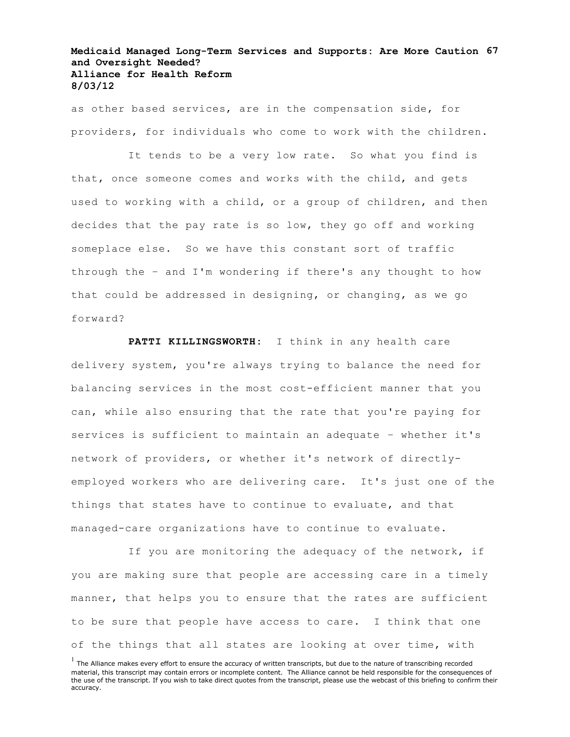# **Medicaid Managed Long-Term Services and Supports: Are More Caution 67 and Oversight Needed? Alliance for Health Reform 8/03/12**

as other based services, are in the compensation side, for providers, for individuals who come to work with the children.

It tends to be a very low rate. So what you find is that, once someone comes and works with the child, and gets used to working with a child, or a group of children, and then decides that the pay rate is so low, they go off and working someplace else. So we have this constant sort of traffic through the – and I'm wondering if there's any thought to how that could be addressed in designing, or changing, as we go forward?

**PATTI KILLINGSWORTH:** I think in any health care delivery system, you're always trying to balance the need for balancing services in the most cost-efficient manner that you can, while also ensuring that the rate that you're paying for services is sufficient to maintain an adequate – whether it's network of providers, or whether it's network of directlyemployed workers who are delivering care. It's just one of the things that states have to continue to evaluate, and that managed-care organizations have to continue to evaluate.

If you are monitoring the adequacy of the network, if you are making sure that people are accessing care in a timely manner, that helps you to ensure that the rates are sufficient to be sure that people have access to care. I think that one of the things that all states are looking at over time, with

 $<sup>1</sup>$  The Alliance makes every effort to ensure the accuracy of written transcripts, but due to the nature of transcribing recorded</sup> material, this transcript may contain errors or incomplete content. The Alliance cannot be held responsible for the consequences of the use of the transcript. If you wish to take direct quotes from the transcript, please use the webcast of this briefing to confirm their accuracy.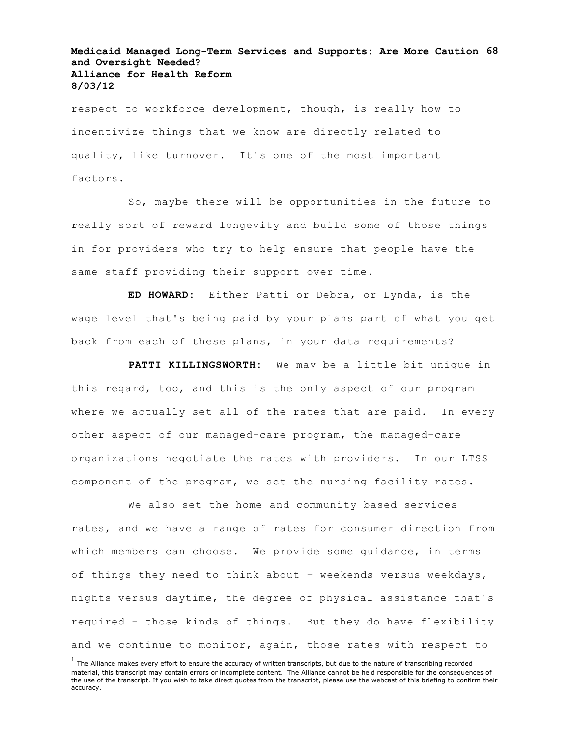# **Medicaid Managed Long-Term Services and Supports: Are More Caution 68 and Oversight Needed? Alliance for Health Reform 8/03/12**

respect to workforce development, though, is really how to incentivize things that we know are directly related to quality, like turnover. It's one of the most important factors.

So, maybe there will be opportunities in the future to really sort of reward longevity and build some of those things in for providers who try to help ensure that people have the same staff providing their support over time.

**ED HOWARD:** Either Patti or Debra, or Lynda, is the wage level that's being paid by your plans part of what you get back from each of these plans, in your data requirements?

**PATTI KILLINGSWORTH:** We may be a little bit unique in this regard, too, and this is the only aspect of our program where we actually set all of the rates that are paid. In every other aspect of our managed-care program, the managed-care organizations negotiate the rates with providers. In our LTSS component of the program, we set the nursing facility rates.

We also set the home and community based services rates, and we have a range of rates for consumer direction from which members can choose. We provide some guidance, in terms of things they need to think about – weekends versus weekdays, nights versus daytime, the degree of physical assistance that's required – those kinds of things. But they do have flexibility and we continue to monitor, again, those rates with respect to

 $<sup>1</sup>$  The Alliance makes every effort to ensure the accuracy of written transcripts, but due to the nature of transcribing recorded</sup> material, this transcript may contain errors or incomplete content. The Alliance cannot be held responsible for the consequences of the use of the transcript. If you wish to take direct quotes from the transcript, please use the webcast of this briefing to confirm their accuracy.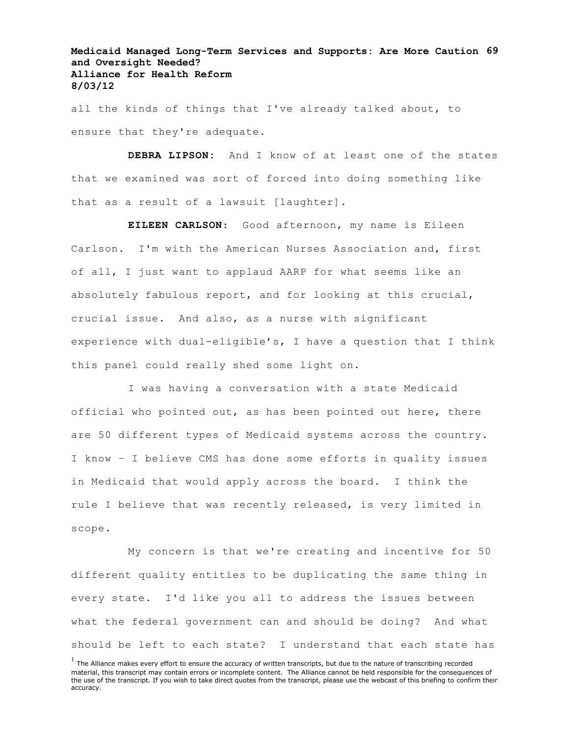**Medicaid Managed Long-Term Services and Supports: Are More Caution 69 and Oversight Needed? Alliance for Health Reform 8/03/12**

all the kinds of things that I've already talked about, to ensure that they're adequate.

**DEBRA LIPSON:** And I know of at least one of the states that we examined was sort of forced into doing something like that as a result of a lawsuit [laughter].

**EILEEN CARLSON**: Good afternoon, my name is Eileen Carlson. I'm with the American Nurses Association and, first of all, I just want to applaud AARP for what seems like an absolutely fabulous report, and for looking at this crucial, crucial issue. And also, as a nurse with significant experience with dual-eligible's, I have a question that I think this panel could really shed some light on.

I was having a conversation with a state Medicaid official who pointed out, as has been pointed out here, there are 50 different types of Medicaid systems across the country. I know – I believe CMS has done some efforts in quality issues in Medicaid that would apply across the board. I think the rule I believe that was recently released, is very limited in scope.

My concern is that we're creating and incentive for 50 different quality entities to be duplicating the same thing in every state. I'd like you all to address the issues between what the federal government can and should be doing? And what should be left to each state? I understand that each state has

 $<sup>1</sup>$  The Alliance makes every effort to ensure the accuracy of written transcripts, but due to the nature of transcribing recorded</sup> material, this transcript may contain errors or incomplete content. The Alliance cannot be held responsible for the consequences of the use of the transcript. If you wish to take direct quotes from the transcript, please use the webcast of this briefing to confirm their accuracy.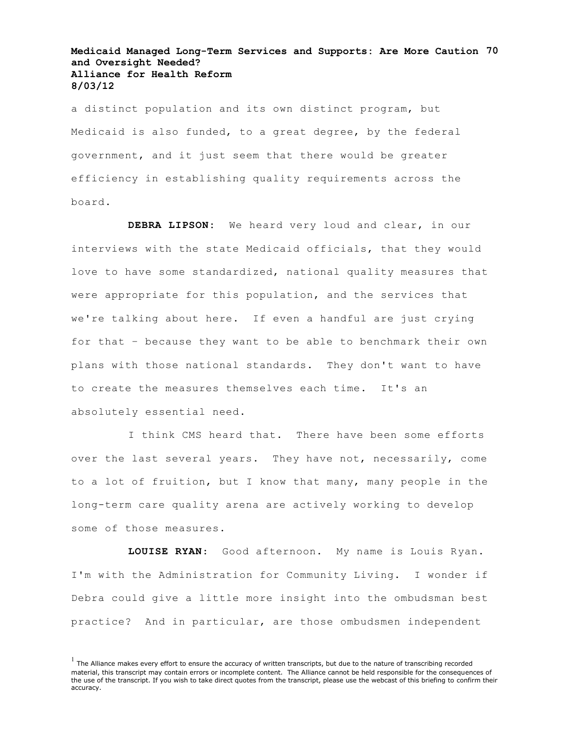#### **Medicaid Managed Long-Term Services and Supports: Are More Caution 70 and Oversight Needed? Alliance for Health Reform 8/03/12**

a distinct population and its own distinct program, but Medicaid is also funded, to a great degree, by the federal government, and it just seem that there would be greater efficiency in establishing quality requirements across the board.

**DEBRA LIPSON:** We heard very loud and clear, in our interviews with the state Medicaid officials, that they would love to have some standardized, national quality measures that were appropriate for this population, and the services that we're talking about here. If even a handful are just crying for that – because they want to be able to benchmark their own plans with those national standards. They don't want to have to create the measures themselves each time. It's an absolutely essential need.

I think CMS heard that. There have been some efforts over the last several years. They have not, necessarily, come to a lot of fruition, but I know that many, many people in the long-term care quality arena are actively working to develop some of those measures.

**LOUISE RYAN**: Good afternoon. My name is Louis Ryan. I'm with the Administration for Community Living. I wonder if Debra could give a little more insight into the ombudsman best practice? And in particular, are those ombudsmen independent

 $<sup>1</sup>$  The Alliance makes every effort to ensure the accuracy of written transcripts, but due to the nature of transcribing recorded</sup> material, this transcript may contain errors or incomplete content. The Alliance cannot be held responsible for the consequences of the use of the transcript. If you wish to take direct quotes from the transcript, please use the webcast of this briefing to confirm their accuracy.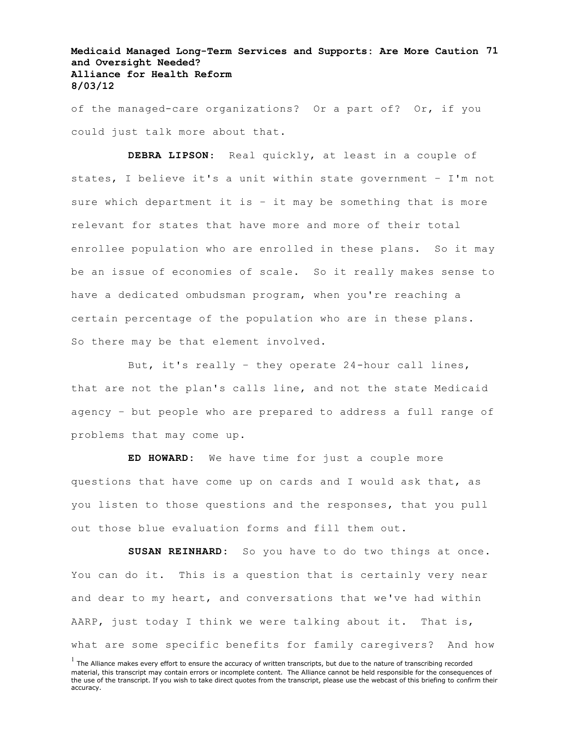# **Medicaid Managed Long-Term Services and Supports: Are More Caution 71 and Oversight Needed? Alliance for Health Reform 8/03/12**

of the managed-care organizations? Or a part of? Or, if you could just talk more about that.

**DEBRA LIPSON**: Real quickly, at least in a couple of states, I believe it's a unit within state government – I'm not sure which department it is – it may be something that is more relevant for states that have more and more of their total enrollee population who are enrolled in these plans. So it may be an issue of economies of scale. So it really makes sense to have a dedicated ombudsman program, when you're reaching a certain percentage of the population who are in these plans. So there may be that element involved.

But, it's really – they operate 24-hour call lines, that are not the plan's calls line, and not the state Medicaid agency – but people who are prepared to address a full range of problems that may come up.

**ED HOWARD:** We have time for just a couple more questions that have come up on cards and I would ask that, as you listen to those questions and the responses, that you pull out those blue evaluation forms and fill them out.

**SUSAN REINHARD:** So you have to do two things at once. You can do it. This is a question that is certainly very near and dear to my heart, and conversations that we've had within AARP, just today I think we were talking about it. That is, what are some specific benefits for family caregivers? And how

 $<sup>1</sup>$  The Alliance makes every effort to ensure the accuracy of written transcripts, but due to the nature of transcribing recorded</sup> material, this transcript may contain errors or incomplete content. The Alliance cannot be held responsible for the consequences of the use of the transcript. If you wish to take direct quotes from the transcript, please use the webcast of this briefing to confirm their accuracy.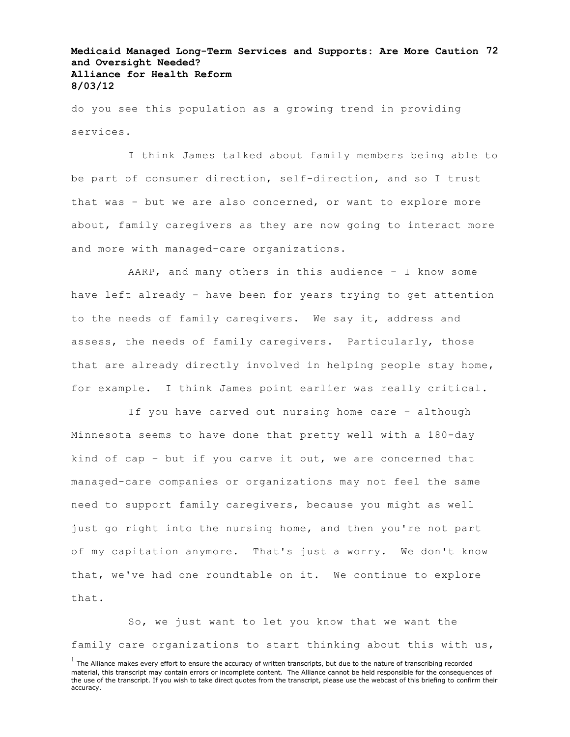# **Medicaid Managed Long-Term Services and Supports: Are More Caution 72 and Oversight Needed? Alliance for Health Reform 8/03/12**

do you see this population as a growing trend in providing services.

I think James talked about family members being able to be part of consumer direction, self-direction, and so I trust that was – but we are also concerned, or want to explore more about, family caregivers as they are now going to interact more and more with managed-care organizations.

AARP, and many others in this audience – I know some have left already – have been for years trying to get attention to the needs of family caregivers. We say it, address and assess, the needs of family caregivers. Particularly, those that are already directly involved in helping people stay home, for example. I think James point earlier was really critical.

If you have carved out nursing home care – although Minnesota seems to have done that pretty well with a 180-day kind of cap – but if you carve it out, we are concerned that managed-care companies or organizations may not feel the same need to support family caregivers, because you might as well just go right into the nursing home, and then you're not part of my capitation anymore. That's just a worry. We don't know that, we've had one roundtable on it. We continue to explore that.

So, we just want to let you know that we want the family care organizations to start thinking about this with us,

 $<sup>1</sup>$  The Alliance makes every effort to ensure the accuracy of written transcripts, but due to the nature of transcribing recorded</sup> material, this transcript may contain errors or incomplete content. The Alliance cannot be held responsible for the consequences of the use of the transcript. If you wish to take direct quotes from the transcript, please use the webcast of this briefing to confirm their accuracy.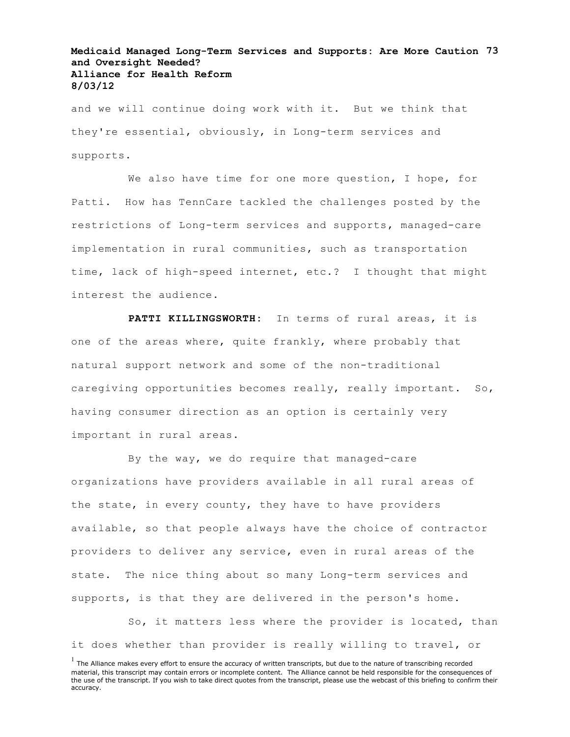## **Medicaid Managed Long-Term Services and Supports: Are More Caution 73 and Oversight Needed? Alliance for Health Reform 8/03/12**

and we will continue doing work with it. But we think that they're essential, obviously, in Long-term services and supports.

We also have time for one more question, I hope, for Patti. How has TennCare tackled the challenges posted by the restrictions of Long-term services and supports, managed-care implementation in rural communities, such as transportation time, lack of high-speed internet, etc.? I thought that might interest the audience.

**PATTI KILLINGSWORTH:** In terms of rural areas, it is one of the areas where, quite frankly, where probably that natural support network and some of the non-traditional caregiving opportunities becomes really, really important. So, having consumer direction as an option is certainly very important in rural areas.

By the way, we do require that managed-care organizations have providers available in all rural areas of the state, in every county, they have to have providers available, so that people always have the choice of contractor providers to deliver any service, even in rural areas of the state. The nice thing about so many Long-term services and supports, is that they are delivered in the person's home.

So, it matters less where the provider is located, than it does whether than provider is really willing to travel, or

 $<sup>1</sup>$  The Alliance makes every effort to ensure the accuracy of written transcripts, but due to the nature of transcribing recorded</sup> material, this transcript may contain errors or incomplete content. The Alliance cannot be held responsible for the consequences of the use of the transcript. If you wish to take direct quotes from the transcript, please use the webcast of this briefing to confirm their accuracy.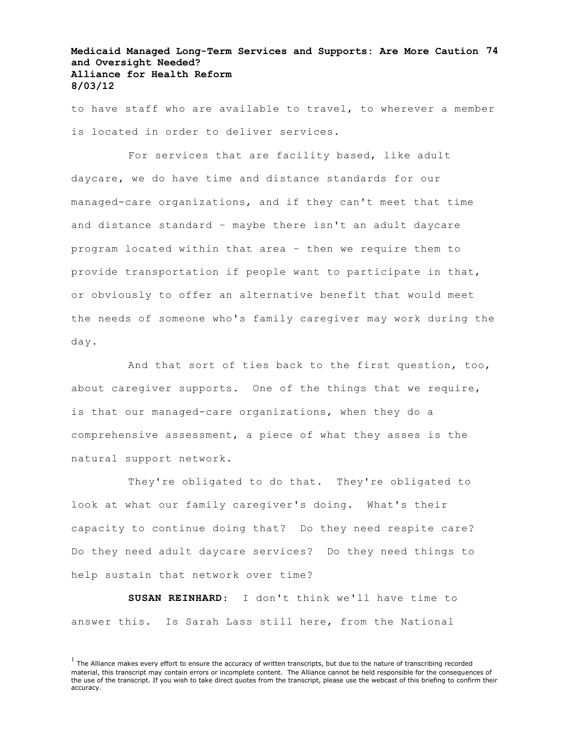## **Medicaid Managed Long-Term Services and Supports: Are More Caution 74 and Oversight Needed? Alliance for Health Reform 8/03/12**

to have staff who are available to travel, to wherever a member is located in order to deliver services.

For services that are facility based, like adult daycare, we do have time and distance standards for our managed-care organizations, and if they can't meet that time and distance standard – maybe there isn't an adult daycare program located within that area – then we require them to provide transportation if people want to participate in that, or obviously to offer an alternative benefit that would meet the needs of someone who's family caregiver may work during the day.

And that sort of ties back to the first question, too, about caregiver supports. One of the things that we require, is that our managed-care organizations, when they do a comprehensive assessment, a piece of what they asses is the natural support network.

They're obligated to do that. They're obligated to look at what our family caregiver's doing. What's their capacity to continue doing that? Do they need respite care? Do they need adult daycare services? Do they need things to help sustain that network over time?

**SUSAN REINHARD**: I don't think we'll have time to answer this. Is Sarah Lass still here, from the National

 $<sup>1</sup>$  The Alliance makes every effort to ensure the accuracy of written transcripts, but due to the nature of transcribing recorded</sup> material, this transcript may contain errors or incomplete content. The Alliance cannot be held responsible for the consequences of the use of the transcript. If you wish to take direct quotes from the transcript, please use the webcast of this briefing to confirm their accuracy.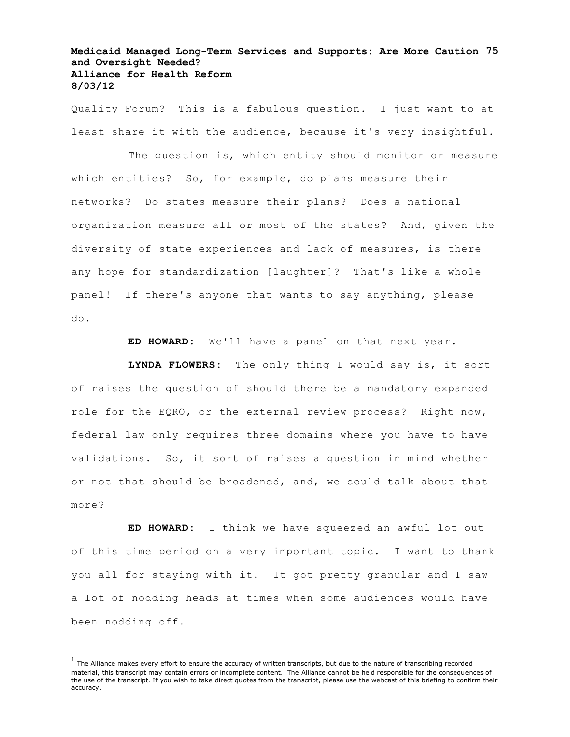## **Medicaid Managed Long-Term Services and Supports: Are More Caution 75 and Oversight Needed? Alliance for Health Reform 8/03/12**

Quality Forum? This is a fabulous question. I just want to at least share it with the audience, because it's very insightful.

The question is, which entity should monitor or measure which entities? So, for example, do plans measure their networks? Do states measure their plans? Does a national organization measure all or most of the states? And, given the diversity of state experiences and lack of measures, is there any hope for standardization [laughter]? That's like a whole panel! If there's anyone that wants to say anything, please do.

**ED HOWARD:** We'll have a panel on that next year.

**LYNDA FLOWERS:** The only thing I would say is, it sort of raises the question of should there be a mandatory expanded role for the EQRO, or the external review process? Right now, federal law only requires three domains where you have to have validations. So, it sort of raises a question in mind whether or not that should be broadened, and, we could talk about that more?

**ED HOWARD:** I think we have squeezed an awful lot out of this time period on a very important topic. I want to thank you all for staying with it. It got pretty granular and I saw a lot of nodding heads at times when some audiences would have been nodding off.

 $<sup>1</sup>$  The Alliance makes every effort to ensure the accuracy of written transcripts, but due to the nature of transcribing recorded</sup> material, this transcript may contain errors or incomplete content. The Alliance cannot be held responsible for the consequences of the use of the transcript. If you wish to take direct quotes from the transcript, please use the webcast of this briefing to confirm their accuracy.